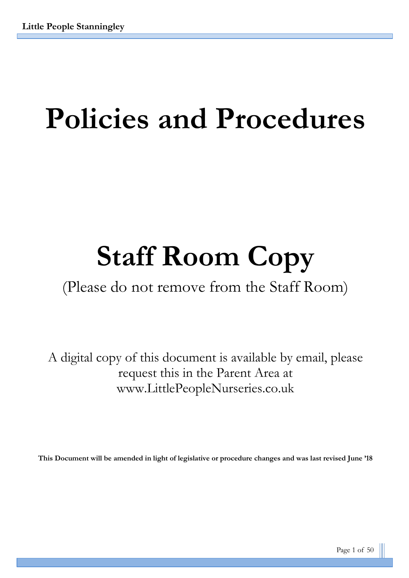# **Policies and Procedures**

# **Staff Room Copy**

(Please do not remove from the Staff Room)

A digital copy of this document is available by email, please request this in the Parent Area at www.LittlePeopleNurseries.co.uk

**This Document will be amended in light of legislative or procedure changes and was last revised June '18**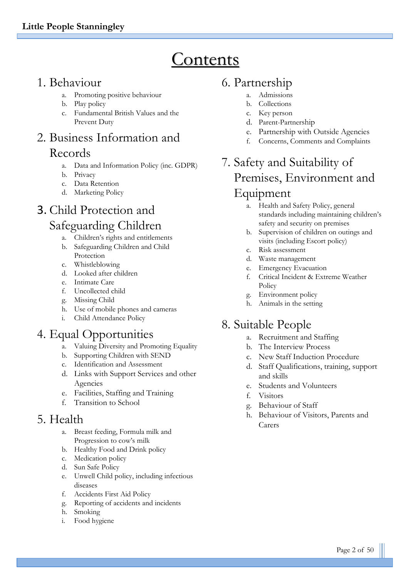# **Contents**

## 1. Behaviour

- a. Promoting positive behaviour
- b. Play policy
- c. Fundamental British Values and the Prevent Duty

# 2. Business Information and Records

- a. Data and Information Policy (inc. GDPR)
- b. Privacy
- c. Data Retention
- d. Marketing Policy

# 3. Child Protection and Safeguarding Children

- a. Children's rights and entitlements
- b. Safeguarding Children and Child Protection
- c. Whistleblowing
- d. Looked after children
- e. Intimate Care
- f. Uncollected child
- g. Missing Child
- h. Use of mobile phones and cameras
- i. Child Attendance Policy

# 4. Equal Opportunities

- a. Valuing Diversity and Promoting Equality
- b. Supporting Children with SEND
- c. Identification and Assessment
- d. Links with Support Services and other Agencies
- e. Facilities, Staffing and Training
- f. Transition to School

## 5. Health

- a. Breast feeding, Formula milk and Progression to cow's milk
- b. Healthy Food and Drink policy
- c. Medication policy
- d. Sun Safe Policy
- e. Unwell Child policy, including infectious diseases
- f. Accidents First Aid Policy
- g. Reporting of accidents and incidents
- h. Smoking
- i. Food hygiene

# 6. Partnership

- a. Admissions
- b. Collections
- c. Key person
- d. Parent-Partnership
- e. Partnership with Outside Agencies
- f. Concerns, Comments and Complaints

# 7. Safety and Suitability of Premises, Environment and Equipment

- a. Health and Safety Policy, general standards including maintaining children's safety and security on premises
- b. Supervision of children on outings and visits (including Escort policy)
- c. Risk assessment
- d. Waste management
- e. Emergency Evacuation
- f. Critical Incident & Extreme Weather Policy
- g. Environment policy
- h. Animals in the setting

# 8. Suitable People

- a. Recruitment and Staffing
- b. The Interview Process
- c. New Staff Induction Procedure
- d. Staff Qualifications, training, support and skills
- e. Students and Volunteers
- f. Visitors
- g. Behaviour of Staff
- h. Behaviour of Visitors, Parents and Carers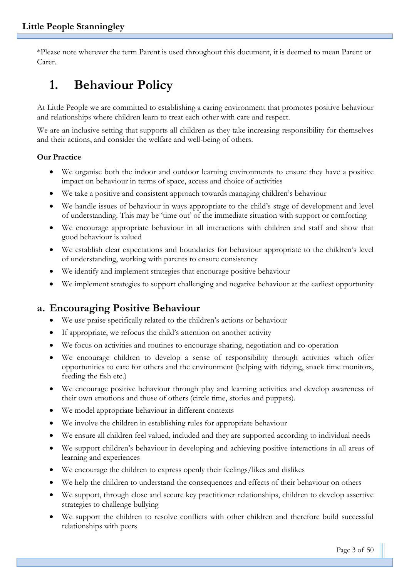\*Please note wherever the term Parent is used throughout this document, it is deemed to mean Parent or Carer.

# **1. Behaviour Policy**

At Little People we are committed to establishing a caring environment that promotes positive behaviour and relationships where children learn to treat each other with care and respect.

We are an inclusive setting that supports all children as they take increasing responsibility for themselves and their actions, and consider the welfare and well-being of others.

#### **Our Practice**

- We organise both the indoor and outdoor learning environments to ensure they have a positive impact on behaviour in terms of space, access and choice of activities
- We take a positive and consistent approach towards managing children's behaviour
- We handle issues of behaviour in ways appropriate to the child's stage of development and level of understanding. This may be 'time out' of the immediate situation with support or comforting
- We encourage appropriate behaviour in all interactions with children and staff and show that good behaviour is valued
- We establish clear expectations and boundaries for behaviour appropriate to the children's level of understanding, working with parents to ensure consistency
- We identify and implement strategies that encourage positive behaviour
- We implement strategies to support challenging and negative behaviour at the earliest opportunity

## **a. Encouraging Positive Behaviour**

- We use praise specifically related to the children's actions or behaviour
- If appropriate, we refocus the child's attention on another activity
- We focus on activities and routines to encourage sharing, negotiation and co-operation
- We encourage children to develop a sense of responsibility through activities which offer opportunities to care for others and the environment (helping with tidying, snack time monitors, feeding the fish etc.)
- We encourage positive behaviour through play and learning activities and develop awareness of their own emotions and those of others (circle time, stories and puppets).
- We model appropriate behaviour in different contexts
- We involve the children in establishing rules for appropriate behaviour
- We ensure all children feel valued, included and they are supported according to individual needs
- We support children's behaviour in developing and achieving positive interactions in all areas of learning and experiences
- We encourage the children to express openly their feelings/likes and dislikes
- We help the children to understand the consequences and effects of their behaviour on others
- We support, through close and secure key practitioner relationships, children to develop assertive strategies to challenge bullying
- We support the children to resolve conflicts with other children and therefore build successful relationships with peers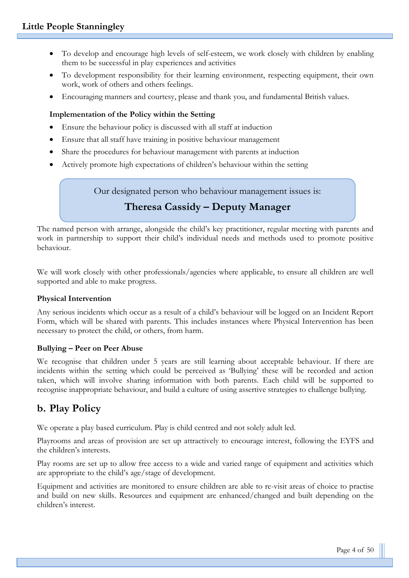- To develop and encourage high levels of self-esteem, we work closely with children by enabling them to be successful in play experiences and activities
- To development responsibility for their learning environment, respecting equipment, their own work, work of others and others feelings.
- Encouraging manners and courtesy, please and thank you, and fundamental British values.

#### **Implementation of the Policy within the Setting**

- Ensure the behaviour policy is discussed with all staff at induction
- Ensure that all staff have training in positive behaviour management
- Share the procedures for behaviour management with parents at induction
- Actively promote high expectations of children's behaviour within the setting

Our designated person who behaviour management issues is:

## **Theresa Cassidy – Deputy Manager**

The named person with arrange, alongside the child's key practitioner, regular meeting with parents and work in partnership to support their child's individual needs and methods used to promote positive behaviour.

We will work closely with other professionals/agencies where applicable, to ensure all children are well supported and able to make progress.

#### **Physical Intervention**

Any serious incidents which occur as a result of a child's behaviour will be logged on an Incident Report Form, which will be shared with parents. This includes instances where Physical Intervention has been necessary to protect the child, or others, from harm.

#### **Bullying – Peer on Peer Abuse**

We recognise that children under 5 years are still learning about acceptable behaviour. If there are incidents within the setting which could be perceived as 'Bullying' these will be recorded and action taken, which will involve sharing information with both parents. Each child will be supported to recognise inappropriate behaviour, and build a culture of using assertive strategies to challenge bullying.

## **b. Play Policy**

We operate a play based curriculum. Play is child centred and not solely adult led.

Playrooms and areas of provision are set up attractively to encourage interest, following the EYFS and the children's interests.

Play rooms are set up to allow free access to a wide and varied range of equipment and activities which are appropriate to the child's age/stage of development.

Equipment and activities are monitored to ensure children are able to re-visit areas of choice to practise and build on new skills. Resources and equipment are enhanced/changed and built depending on the children's interest.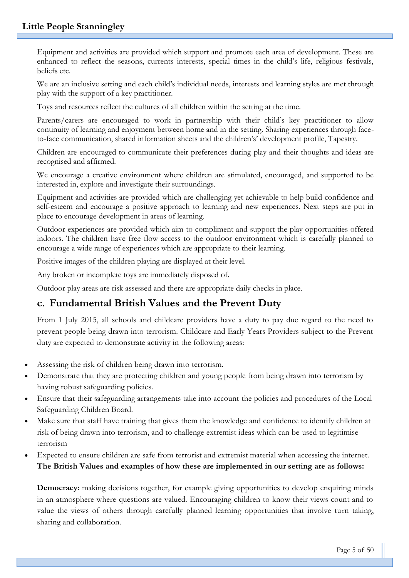Equipment and activities are provided which support and promote each area of development. These are enhanced to reflect the seasons, currents interests, special times in the child's life, religious festivals, beliefs etc.

We are an inclusive setting and each child's individual needs, interests and learning styles are met through play with the support of a key practitioner.

Toys and resources reflect the cultures of all children within the setting at the time.

Parents/carers are encouraged to work in partnership with their child's key practitioner to allow continuity of learning and enjoyment between home and in the setting. Sharing experiences through faceto-face communication, shared information sheets and the children's' development profile, Tapestry.

Children are encouraged to communicate their preferences during play and their thoughts and ideas are recognised and affirmed.

We encourage a creative environment where children are stimulated, encouraged, and supported to be interested in, explore and investigate their surroundings.

Equipment and activities are provided which are challenging yet achievable to help build confidence and self-esteem and encourage a positive approach to learning and new experiences. Next steps are put in place to encourage development in areas of learning.

Outdoor experiences are provided which aim to compliment and support the play opportunities offered indoors. The children have free flow access to the outdoor environment which is carefully planned to encourage a wide range of experiences which are appropriate to their learning.

Positive images of the children playing are displayed at their level.

Any broken or incomplete toys are immediately disposed of.

Outdoor play areas are risk assessed and there are appropriate daily checks in place.

## **c. Fundamental British Values and the Prevent Duty**

From 1 July 2015, all schools and childcare providers have a duty to pay due regard to the need to prevent people being drawn into terrorism. Childcare and Early Years Providers subject to the Prevent duty are expected to demonstrate activity in the following areas:

- Assessing the risk of children being drawn into terrorism.
- Demonstrate that they are protecting children and young people from being drawn into terrorism by having robust safeguarding policies.
- Ensure that their safeguarding arrangements take into account the policies and procedures of the Local Safeguarding Children Board.
- Make sure that staff have training that gives them the knowledge and confidence to identify children at risk of being drawn into terrorism, and to challenge extremist ideas which can be used to legitimise terrorism
- Expected to ensure children are safe from terrorist and extremist material when accessing the internet. **The British Values and examples of how these are implemented in our setting are as follows:**

**Democracy:** making decisions together, for example giving opportunities to develop enquiring minds in an atmosphere where questions are valued. Encouraging children to know their views count and to value the views of others through carefully planned learning opportunities that involve turn taking, sharing and collaboration.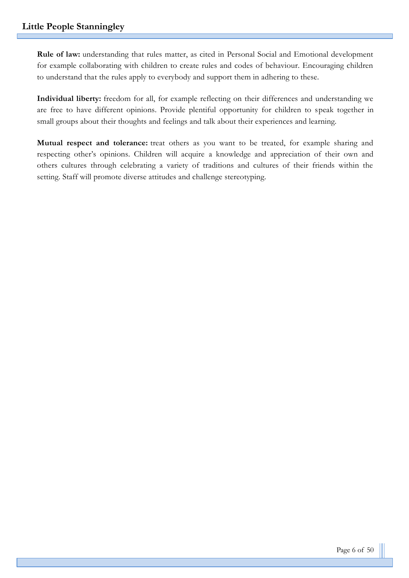**Rule of law:** understanding that rules matter, as cited in Personal Social and Emotional development for example collaborating with children to create rules and codes of behaviour. Encouraging children to understand that the rules apply to everybody and support them in adhering to these.

**Individual liberty:** freedom for all, for example reflecting on their differences and understanding we are free to have different opinions. Provide plentiful opportunity for children to speak together in small groups about their thoughts and feelings and talk about their experiences and learning.

**Mutual respect and tolerance:** treat others as you want to be treated, for example sharing and respecting other's opinions. Children will acquire a knowledge and appreciation of their own and others cultures through celebrating a variety of traditions and cultures of their friends within the setting. Staff will promote diverse attitudes and challenge stereotyping.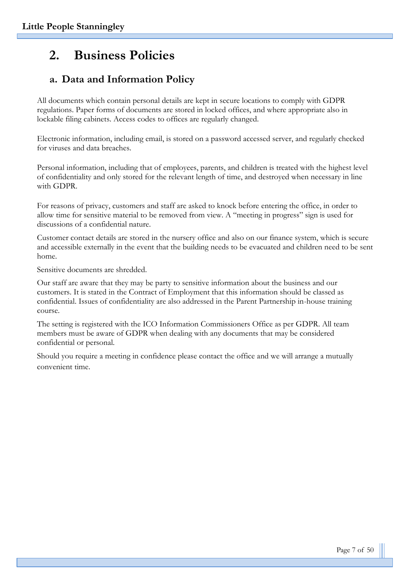# **2. Business Policies**

## **a. Data and Information Policy**

All documents which contain personal details are kept in secure locations to comply with GDPR regulations. Paper forms of documents are stored in locked offices, and where appropriate also in lockable filing cabinets. Access codes to offices are regularly changed.

Electronic information, including email, is stored on a password accessed server, and regularly checked for viruses and data breaches.

Personal information, including that of employees, parents, and children is treated with the highest level of confidentiality and only stored for the relevant length of time, and destroyed when necessary in line with GDPR.

For reasons of privacy, customers and staff are asked to knock before entering the office, in order to allow time for sensitive material to be removed from view. A "meeting in progress" sign is used for discussions of a confidential nature.

Customer contact details are stored in the nursery office and also on our finance system, which is secure and accessible externally in the event that the building needs to be evacuated and children need to be sent home.

Sensitive documents are shredded.

Our staff are aware that they may be party to sensitive information about the business and our customers. It is stated in the Contract of Employment that this information should be classed as confidential. Issues of confidentiality are also addressed in the Parent Partnership in-house training course.

The setting is registered with the ICO Information Commissioners Office as per GDPR. All team members must be aware of GDPR when dealing with any documents that may be considered confidential or personal.

Should you require a meeting in confidence please contact the office and we will arrange a mutually convenient time.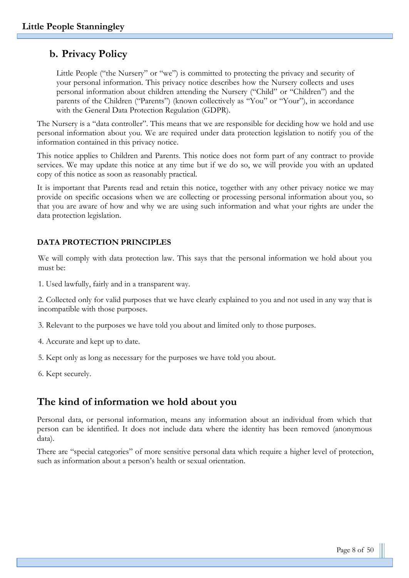## **b. Privacy Policy**

Little People ("the Nursery" or "we") is committed to protecting the privacy and security of your personal information. This privacy notice describes how the Nursery collects and uses personal information about children attending the Nursery ("Child" or "Children") and the parents of the Children ("Parents") (known collectively as "You" or "Your"), in accordance with the General Data Protection Regulation (GDPR).

The Nursery is a "data controller". This means that we are responsible for deciding how we hold and use personal information about you. We are required under data protection legislation to notify you of the information contained in this privacy notice.

This notice applies to Children and Parents. This notice does not form part of any contract to provide services. We may update this notice at any time but if we do so, we will provide you with an updated copy of this notice as soon as reasonably practical.

It is important that Parents read and retain this notice, together with any other privacy notice we may provide on specific occasions when we are collecting or processing personal information about you, so that you are aware of how and why we are using such information and what your rights are under the data protection legislation.

#### **DATA PROTECTION PRINCIPLES**

We will comply with data protection law. This says that the personal information we hold about you must be:

1. Used lawfully, fairly and in a transparent way.

2. Collected only for valid purposes that we have clearly explained to you and not used in any way that is incompatible with those purposes.

3. Relevant to the purposes we have told you about and limited only to those purposes.

- 4. Accurate and kept up to date.
- 5. Kept only as long as necessary for the purposes we have told you about.
- 6. Kept securely.

## **The kind of information we hold about you**

Personal data, or personal information, means any information about an individual from which that person can be identified. It does not include data where the identity has been removed (anonymous data).

There are "special categories" of more sensitive personal data which require a higher level of protection, such as information about a person's health or sexual orientation.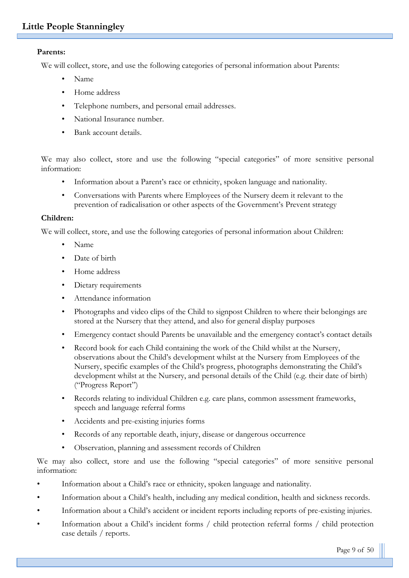#### **Parents:**

We will collect, store, and use the following categories of personal information about Parents:

- Name
- Home address
- Telephone numbers, and personal email addresses.
- National Insurance number.
- Bank account details.

We may also collect, store and use the following "special categories" of more sensitive personal information:

- Information about a Parent's race or ethnicity, spoken language and nationality.
- Conversations with Parents where Employees of the Nursery deem it relevant to the prevention of radicalisation or other aspects of the Government's Prevent strategy

#### **Children:**

We will collect, store, and use the following categories of personal information about Children:

- Name
- Date of birth
- Home address
- Dietary requirements
- Attendance information
- Photographs and video clips of the Child to signpost Children to where their belongings are stored at the Nursery that they attend, and also for general display purposes
- Emergency contact should Parents be unavailable and the emergency contact's contact details
- Record book for each Child containing the work of the Child whilst at the Nursery, observations about the Child's development whilst at the Nursery from Employees of the Nursery, specific examples of the Child's progress, photographs demonstrating the Child's development whilst at the Nursery, and personal details of the Child (e.g. their date of birth) ("Progress Report")
- Records relating to individual Children e.g. care plans, common assessment frameworks, speech and language referral forms
- Accidents and pre-existing injuries forms
- Records of any reportable death, injury, disease or dangerous occurrence
- Observation, planning and assessment records of Children

We may also collect, store and use the following "special categories" of more sensitive personal information:

- Information about a Child's race or ethnicity, spoken language and nationality.
- Information about a Child's health, including any medical condition, health and sickness records.
- Information about a Child's accident or incident reports including reports of pre-existing injuries.
- Information about a Child's incident forms / child protection referral forms / child protection case details / reports.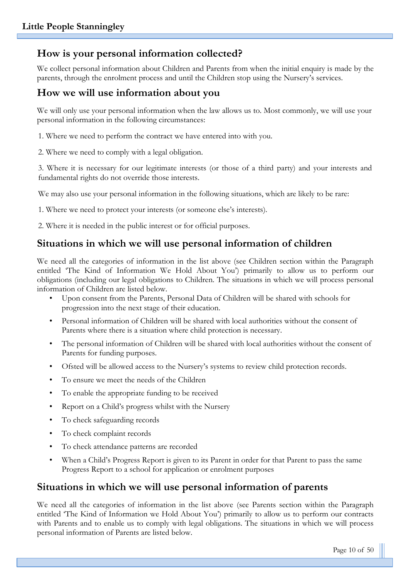## **How is your personal information collected?**

We collect personal information about Children and Parents from when the initial enquiry is made by the parents, through the enrolment process and until the Children stop using the Nursery's services.

## **How we will use information about you**

We will only use your personal information when the law allows us to. Most commonly, we will use your personal information in the following circumstances:

1. Where we need to perform the contract we have entered into with you.

2. Where we need to comply with a legal obligation.

3. Where it is necessary for our legitimate interests (or those of a third party) and your interests and fundamental rights do not override those interests.

We may also use your personal information in the following situations, which are likely to be rare:

1. Where we need to protect your interests (or someone else's interests).

2. Where it is needed in the public interest or for official purposes.

## **Situations in which we will use personal information of children**

We need all the categories of information in the list above (see Children section within the Paragraph entitled 'The Kind of Information We Hold About You') primarily to allow us to perform our obligations (including our legal obligations to Children. The situations in which we will process personal information of Children are listed below.

- Upon consent from the Parents, Personal Data of Children will be shared with schools for progression into the next stage of their education.
- Personal information of Children will be shared with local authorities without the consent of Parents where there is a situation where child protection is necessary.
- The personal information of Children will be shared with local authorities without the consent of Parents for funding purposes.
- Ofsted will be allowed access to the Nursery's systems to review child protection records.
- To ensure we meet the needs of the Children
- To enable the appropriate funding to be received
- Report on a Child's progress whilst with the Nursery
- To check safeguarding records
- To check complaint records
- To check attendance patterns are recorded
- When a Child's Progress Report is given to its Parent in order for that Parent to pass the same Progress Report to a school for application or enrolment purposes

## **Situations in which we will use personal information of parents**

We need all the categories of information in the list above (see Parents section within the Paragraph entitled 'The Kind of Information we Hold About You') primarily to allow us to perform our contracts with Parents and to enable us to comply with legal obligations. The situations in which we will process personal information of Parents are listed below.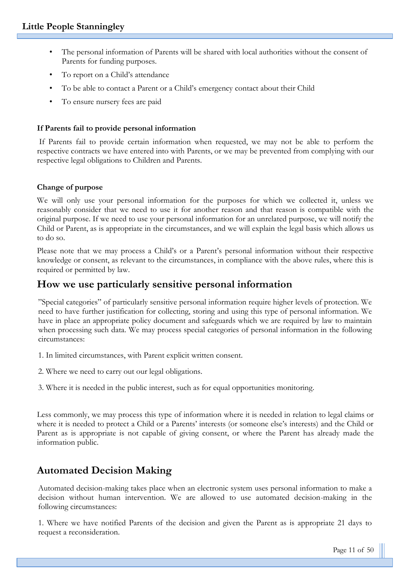- The personal information of Parents will be shared with local authorities without the consent of Parents for funding purposes.
- To report on a Child's attendance
- To be able to contact a Parent or a Child's emergency contact about their Child
- To ensure nursery fees are paid

#### **If Parents fail to provide personal information**

If Parents fail to provide certain information when requested, we may not be able to perform the respective contracts we have entered into with Parents, or we may be prevented from complying with our respective legal obligations to Children and Parents.

#### **Change of purpose**

We will only use your personal information for the purposes for which we collected it, unless we reasonably consider that we need to use it for another reason and that reason is compatible with the original purpose. If we need to use your personal information for an unrelated purpose, we will notify the Child or Parent, as is appropriate in the circumstances, and we will explain the legal basis which allows us to do so.

Please note that we may process a Child's or a Parent's personal information without their respective knowledge or consent, as relevant to the circumstances, in compliance with the above rules, where this is required or permitted by law.

## **How we use particularly sensitive personal information**

"Special categories" of particularly sensitive personal information require higher levels of protection. We need to have further justification for collecting, storing and using this type of personal information. We have in place an appropriate policy document and safeguards which we are required by law to maintain when processing such data. We may process special categories of personal information in the following circumstances:

- 1. In limited circumstances, with Parent explicit written consent.
- 2. Where we need to carry out our legal obligations.

3. Where it is needed in the public interest, such as for equal opportunities monitoring.

Less commonly, we may process this type of information where it is needed in relation to legal claims or where it is needed to protect a Child or a Parents' interests (or someone else's interests) and the Child or Parent as is appropriate is not capable of giving consent, or where the Parent has already made the information public.

## **Automated Decision Making**

Automated decision-making takes place when an electronic system uses personal information to make a decision without human intervention. We are allowed to use automated decision-making in the following circumstances:

1. Where we have notified Parents of the decision and given the Parent as is appropriate 21 days to request a reconsideration.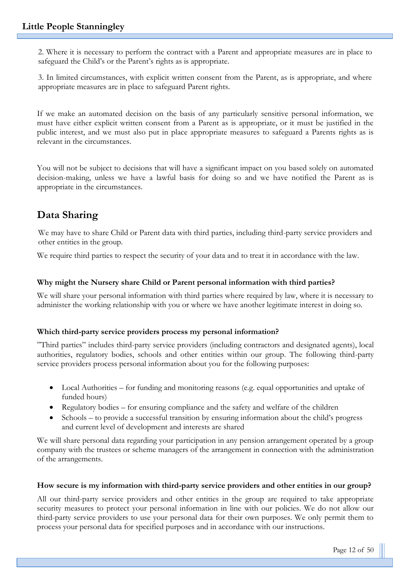2. Where it is necessary to perform the contract with a Parent and appropriate measures are in place to safeguard the Child's or the Parent's rights as is appropriate.

3. In limited circumstances, with explicit written consent from the Parent, as is appropriate, and where appropriate measures are in place to safeguard Parent rights.

If we make an automated decision on the basis of any particularly sensitive personal information, we must have either explicit written consent from a Parent as is appropriate, or it must be justified in the public interest, and we must also put in place appropriate measures to safeguard a Parents rights as is relevant in the circumstances.

You will not be subject to decisions that will have a significant impact on you based solely on automated decision-making, unless we have a lawful basis for doing so and we have notified the Parent as is appropriate in the circumstances.

## **Data Sharing**

We may have to share Child or Parent data with third parties, including third-party service providers and other entities in the group.

We require third parties to respect the security of your data and to treat it in accordance with the law.

#### **Why might the Nursery share Child or Parent personal information with third parties?**

We will share your personal information with third parties where required by law, where it is necessary to administer the working relationship with you or where we have another legitimate interest in doing so.

#### **Which third-party service providers process my personal information?**

"Third parties" includes third-party service providers (including contractors and designated agents), local authorities, regulatory bodies, schools and other entities within our group. The following third-party service providers process personal information about you for the following purposes:

- Local Authorities for funding and monitoring reasons (e.g. equal opportunities and uptake of funded hours)
- Regulatory bodies for ensuring compliance and the safety and welfare of the children
- Schools to provide a successful transition by ensuring information about the child's progress and current level of development and interests are shared

We will share personal data regarding your participation in any pension arrangement operated by a group company with the trustees or scheme managers of the arrangement in connection with the administration of the arrangements.

#### **How secure is my information with third-party service providers and other entities in our group?**

All our third-party service providers and other entities in the group are required to take appropriate security measures to protect your personal information in line with our policies. We do not allow our third-party service providers to use your personal data for their own purposes. We only permit them to process your personal data for specified purposes and in accordance with our instructions.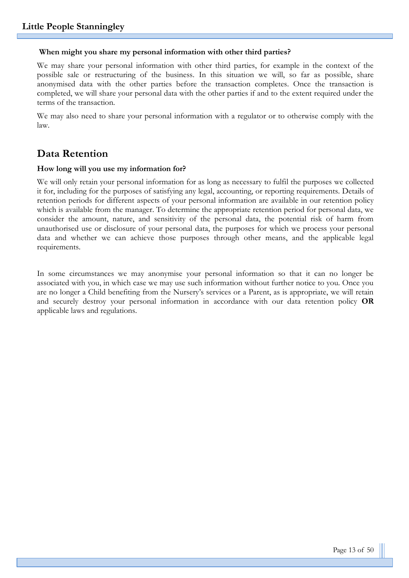#### **When might you share my personal information with other third parties?**

We may share your personal information with other third parties, for example in the context of the possible sale or restructuring of the business. In this situation we will, so far as possible, share anonymised data with the other parties before the transaction completes. Once the transaction is completed, we will share your personal data with the other parties if and to the extent required under the terms of the transaction.

We may also need to share your personal information with a regulator or to otherwise comply with the law.

## **Data Retention**

#### **How long will you use my information for?**

We will only retain your personal information for as long as necessary to fulfil the purposes we collected it for, including for the purposes of satisfying any legal, accounting, or reporting requirements. Details of retention periods for different aspects of your personal information are available in our retention policy which is available from the manager. To determine the appropriate retention period for personal data, we consider the amount, nature, and sensitivity of the personal data, the potential risk of harm from unauthorised use or disclosure of your personal data, the purposes for which we process your personal data and whether we can achieve those purposes through other means, and the applicable legal requirements.

In some circumstances we may anonymise your personal information so that it can no longer be associated with you, in which case we may use such information without further notice to you. Once you are no longer a Child benefiting from the Nursery's services or a Parent, as is appropriate, we will retain and securely destroy your personal information in accordance with our data retention policy **OR** applicable laws and regulations.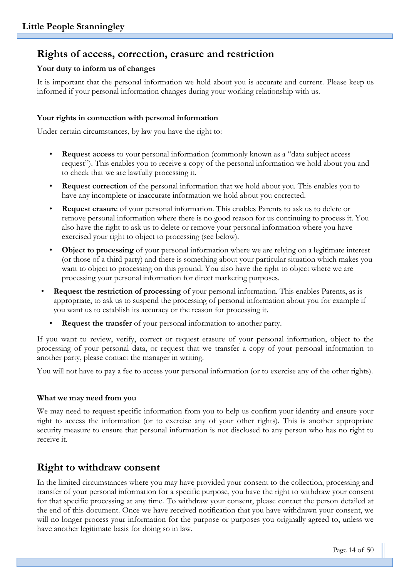## **Rights of access, correction, erasure and restriction**

#### **Your duty to inform us of changes**

It is important that the personal information we hold about you is accurate and current. Please keep us informed if your personal information changes during your working relationship with us.

#### **Your rights in connection with personal information**

Under certain circumstances, by law you have the right to:

- **Request access** to your personal information (commonly known as a "data subject access request"). This enables you to receive a copy of the personal information we hold about you and to check that we are lawfully processing it.
- **Request correction** of the personal information that we hold about you. This enables you to have any incomplete or inaccurate information we hold about you corrected.
- **Request erasure** of your personal information. This enables Parents to ask us to delete or remove personal information where there is no good reason for us continuing to process it. You also have the right to ask us to delete or remove your personal information where you have exercised your right to object to processing (see below).
- **Object to processing** of your personal information where we are relying on a legitimate interest (or those of a third party) and there is something about your particular situation which makes you want to object to processing on this ground. You also have the right to object where we are processing your personal information for direct marketing purposes.
- **Request the restriction of processing** of your personal information. This enables Parents, as is appropriate, to ask us to suspend the processing of personal information about you for example if you want us to establish its accuracy or the reason for processing it.
	- **Request the transfer** of your personal information to another party.

If you want to review, verify, correct or request erasure of your personal information, object to the processing of your personal data, or request that we transfer a copy of your personal information to another party, please contact the manager in writing.

You will not have to pay a fee to access your personal information (or to exercise any of the other rights).

#### **What we may need from you**

We may need to request specific information from you to help us confirm your identity and ensure your right to access the information (or to exercise any of your other rights). This is another appropriate security measure to ensure that personal information is not disclosed to any person who has no right to receive it.

## **Right to withdraw consent**

In the limited circumstances where you may have provided your consent to the collection, processing and transfer of your personal information for a specific purpose, you have the right to withdraw your consent for that specific processing at any time. To withdraw your consent, please contact the person detailed at the end of this document. Once we have received notification that you have withdrawn your consent, we will no longer process your information for the purpose or purposes you originally agreed to, unless we have another legitimate basis for doing so in law.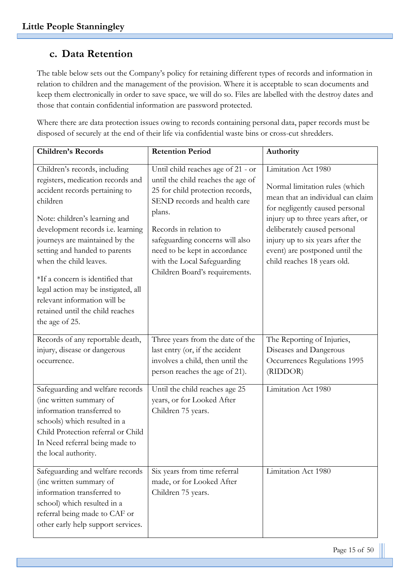## **c. Data Retention**

The table below sets out the Company's policy for retaining different types of records and information in relation to children and the management of the provision. Where it is acceptable to scan documents and keep them electronically in order to save space, we will do so. Files are labelled with the destroy dates and those that contain confidential information are password protected.

Where there are data protection issues owing to records containing personal data, paper records must be disposed of securely at the end of their life via confidential waste bins or cross-cut shredders.

| <b>Children's Records</b>                                                                                                                                                                                                                                                                                                                                                                                                                            | <b>Retention Period</b>                                                                                                                                                                                                                                                                                               | Authority                                                                                                                                                                                                                                                                                                |
|------------------------------------------------------------------------------------------------------------------------------------------------------------------------------------------------------------------------------------------------------------------------------------------------------------------------------------------------------------------------------------------------------------------------------------------------------|-----------------------------------------------------------------------------------------------------------------------------------------------------------------------------------------------------------------------------------------------------------------------------------------------------------------------|----------------------------------------------------------------------------------------------------------------------------------------------------------------------------------------------------------------------------------------------------------------------------------------------------------|
| Children's records, including<br>registers, medication records and<br>accident records pertaining to<br>children<br>Note: children's learning and<br>development records i.e. learning<br>journeys are maintained by the<br>setting and handed to parents<br>when the child leaves.<br>*If a concern is identified that<br>legal action may be instigated, all<br>relevant information will be<br>retained until the child reaches<br>the age of 25. | Until child reaches age of 21 - or<br>until the child reaches the age of<br>25 for child protection records,<br>SEND records and health care<br>plans.<br>Records in relation to<br>safeguarding concerns will also<br>need to be kept in accordance<br>with the Local Safeguarding<br>Children Board's requirements. | Limitation Act 1980<br>Normal limitation rules (which<br>mean that an individual can claim<br>for negligently caused personal<br>injury up to three years after, or<br>deliberately caused personal<br>injury up to six years after the<br>event) are postponed until the<br>child reaches 18 years old. |
| Records of any reportable death,<br>injury, disease or dangerous<br>occurrence.                                                                                                                                                                                                                                                                                                                                                                      | Three years from the date of the<br>last entry (or, if the accident<br>involves a child, then until the<br>person reaches the age of 21).                                                                                                                                                                             | The Reporting of Injuries,<br>Diseases and Dangerous<br>Occurrences Regulations 1995<br>(RIDDOR)                                                                                                                                                                                                         |
| Safeguarding and welfare records<br>(inc written summary of<br>information transferred to<br>schools) which resulted in a<br>Child Protection referral or Child<br>In Need referral being made to<br>the local authority.                                                                                                                                                                                                                            | Until the child reaches age 25<br>years, or for Looked After<br>Children 75 years.                                                                                                                                                                                                                                    | Limitation Act 1980                                                                                                                                                                                                                                                                                      |
| Safeguarding and welfare records<br>(inc written summary of<br>information transferred to<br>school) which resulted in a<br>referral being made to CAF or<br>other early help support services.                                                                                                                                                                                                                                                      | Six years from time referral<br>made, or for Looked After<br>Children 75 years.                                                                                                                                                                                                                                       | Limitation Act 1980                                                                                                                                                                                                                                                                                      |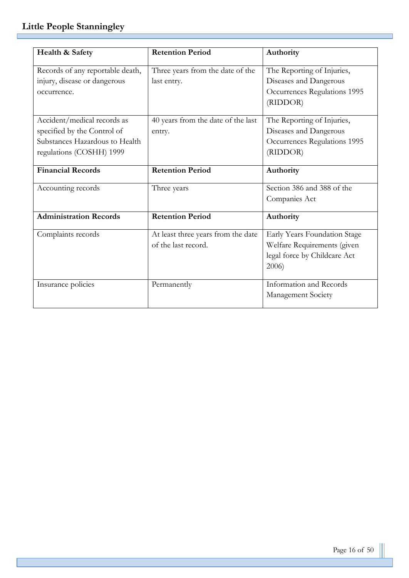Г

| Health & Safety                  | <b>Retention Period</b>            | Authority                    |
|----------------------------------|------------------------------------|------------------------------|
| Records of any reportable death, | Three years from the date of the   | The Reporting of Injuries,   |
| injury, disease or dangerous     | last entry.                        | Diseases and Dangerous       |
| occurrence.                      |                                    | Occurrences Regulations 1995 |
|                                  |                                    | (RIDDOR)                     |
| Accident/medical records as      | 40 years from the date of the last | The Reporting of Injuries,   |
| specified by the Control of      | entry.                             | Diseases and Dangerous       |
| Substances Hazardous to Health   |                                    | Occurrences Regulations 1995 |
| regulations (COSHH) 1999         |                                    | (RIDDOR)                     |
|                                  |                                    |                              |
| <b>Financial Records</b>         | <b>Retention Period</b>            | Authority                    |
| Accounting records               | Three years                        | Section 386 and 388 of the   |
|                                  |                                    | Companies Act                |
| <b>Administration Records</b>    | <b>Retention Period</b>            | Authority                    |
| Complaints records               | At least three years from the date | Early Years Foundation Stage |
|                                  | of the last record.                | Welfare Requirements (given  |
|                                  |                                    | legal force by Childcare Act |
|                                  |                                    | 2006                         |
|                                  | Permanently                        | Information and Records      |
|                                  |                                    | Management Society           |
| Insurance policies               |                                    |                              |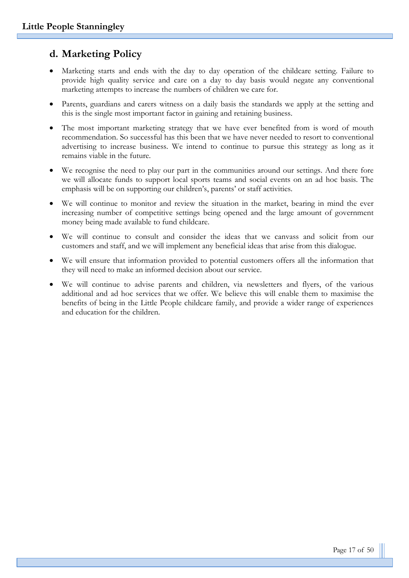## **d. Marketing Policy**

- Marketing starts and ends with the day to day operation of the childcare setting. Failure to provide high quality service and care on a day to day basis would negate any conventional marketing attempts to increase the numbers of children we care for.
- Parents, guardians and carers witness on a daily basis the standards we apply at the setting and this is the single most important factor in gaining and retaining business.
- The most important marketing strategy that we have ever benefited from is word of mouth recommendation. So successful has this been that we have never needed to resort to conventional advertising to increase business. We intend to continue to pursue this strategy as long as it remains viable in the future.
- We recognise the need to play our part in the communities around our settings. And there fore we will allocate funds to support local sports teams and social events on an ad hoc basis. The emphasis will be on supporting our children's, parents' or staff activities.
- We will continue to monitor and review the situation in the market, bearing in mind the ever increasing number of competitive settings being opened and the large amount of government money being made available to fund childcare.
- We will continue to consult and consider the ideas that we canvass and solicit from our customers and staff, and we will implement any beneficial ideas that arise from this dialogue.
- We will ensure that information provided to potential customers offers all the information that they will need to make an informed decision about our service.
- We will continue to advise parents and children, via newsletters and flyers, of the various additional and ad hoc services that we offer. We believe this will enable them to maximise the benefits of being in the Little People childcare family, and provide a wider range of experiences and education for the children.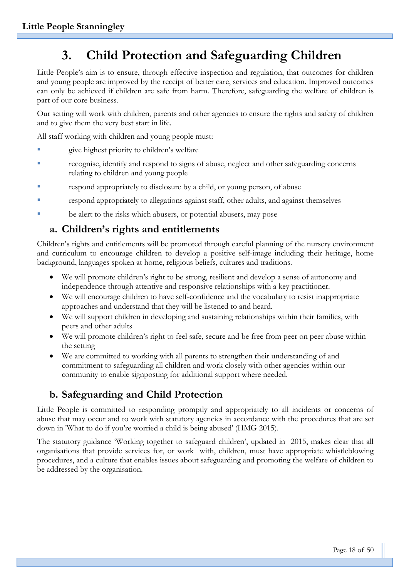# **3. Child Protection and Safeguarding Children**

Little People's aim is to ensure, through effective inspection and regulation, that outcomes for children and young people are improved by the receipt of better care, services and education. Improved outcomes can only be achieved if children are safe from harm. Therefore, safeguarding the welfare of children is part of our core business.

Our setting will work with children, parents and other agencies to ensure the rights and safety of children and to give them the very best start in life.

All staff working with children and young people must:

- give highest priority to children's welfare
- recognise, identify and respond to signs of abuse, neglect and other safeguarding concerns relating to children and young people
- respond appropriately to disclosure by a child, or young person, of abuse
- respond appropriately to allegations against staff, other adults, and against themselves
- be alert to the risks which abusers, or potential abusers, may pose

## **a. Children's rights and entitlements**

Children's rights and entitlements will be promoted through careful planning of the nursery environment and curriculum to encourage children to develop a positive self-image including their heritage, home background, languages spoken at home, religious beliefs, cultures and traditions.

- We will promote children's right to be strong, resilient and develop a sense of autonomy and independence through attentive and responsive relationships with a key practitioner.
- We will encourage children to have self-confidence and the vocabulary to resist inappropriate approaches and understand that they will be listened to and heard.
- We will support children in developing and sustaining relationships within their families, with peers and other adults
- We will promote children's right to feel safe, secure and be free from peer on peer abuse within the setting
- We are committed to working with all parents to strengthen their understanding of and commitment to safeguarding all children and work closely with other agencies within our community to enable signposting for additional support where needed.

## **b. Safeguarding and Child Protection**

Little People is committed to responding promptly and appropriately to all incidents or concerns of abuse that may occur and to work with statutory agencies in accordance with the procedures that are set down in 'What to do if you're worried a child is being abused' (HMG 2015).

The statutory guidance 'Working together to safeguard children', updated in 2015, makes clear that all organisations that provide services for, or work with, children, must have appropriate whistleblowing procedures, and a culture that enables issues about safeguarding and promoting the welfare of children to be addressed by the organisation.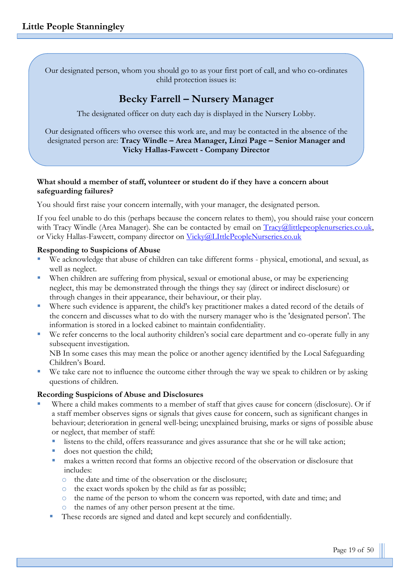Our designated person, whom you should go to as your first port of call, and who co-ordinates child protection issues is:

## **Becky Farrell – Nursery Manager**

The designated officer on duty each day is displayed in the Nursery Lobby.

Our designated officers who oversee this work are, and may be contacted in the absence of the designated person are: **Tracy Windle – Area Manager, Linzi Page – Senior Manager and Vicky Hallas-Fawcett - Company Director**

#### **What should a member of staff, volunteer or student do if they have a concern about safeguarding failures?**

You should first raise your concern internally, with your manager, the designated person.

If you feel unable to do this (perhaps because the concern relates to them), you should raise your concern with Tracy Windle (Area Manager). She can be contacted by email on [Tracy@littlepeoplenurseries.co.uk,](mailto:Tracy@littlepeoplenurseries.co.uk) or Vicky Hallas-Fawcett, company director on [Vicky@LIttlePeopleNurseries.co.uk](mailto:Vicky@LIttlePeopleNurseries.co.uk)

#### **Responding to Suspicions of Abuse**

- We acknowledge that abuse of children can take different forms physical, emotional, and sexual, as well as neglect.
- When children are suffering from physical, sexual or emotional abuse, or may be experiencing neglect, this may be demonstrated through the things they say (direct or indirect disclosure) or through changes in their appearance, their behaviour, or their play.
- Where such evidence is apparent, the child's key practitioner makes a dated record of the details of the concern and discusses what to do with the nursery manager who is the 'designated person'. The information is stored in a locked cabinet to maintain confidentiality.
- We refer concerns to the local authority children's social care department and co-operate fully in any subsequent investigation. NB In some cases this may mean the police or another agency identified by the Local Safeguarding

Children's Board.

We take care not to influence the outcome either through the way we speak to children or by asking questions of children.

#### **Recording Suspicions of Abuse and Disclosures**

- Where a child makes comments to a member of staff that gives cause for concern (disclosure). Or if a staff member observes signs or signals that gives cause for concern, such as significant changes in behaviour; deterioration in general well-being; unexplained bruising, marks or signs of possible abuse or neglect, that member of staff:
	- listens to the child, offers reassurance and gives assurance that she or he will take action;
	- does not question the child;
	- makes a written record that forms an objective record of the observation or disclosure that includes:
		- o the date and time of the observation or the disclosure;
		- o the exact words spoken by the child as far as possible;
		- o the name of the person to whom the concern was reported, with date and time; and
		- o the names of any other person present at the time.
	- These records are signed and dated and kept securely and confidentially.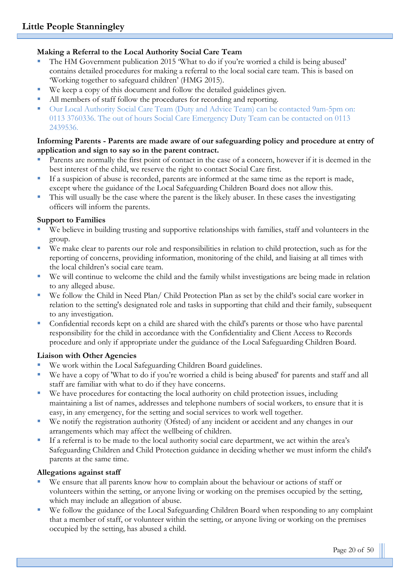#### **Making a Referral to the Local Authority Social Care Team**

- The HM Government publication 2015 'What to do if you're worned a child is being abused' contains detailed procedures for making a referral to the local social care team. This is based on 'Working together to safeguard children' (HMG 2015).
- We keep a copy of this document and follow the detailed guidelines given.
- All members of staff follow the procedures for recording and reporting.
- Our Local Authority Social Care Team (Duty and Advice Team) can be contacted 9am-5pm on: 0113 3760336. The out of hours Social Care Emergency Duty Team can be contacted on 0113 2439536.

#### **Informing Parents - Parents are made aware of our safeguarding policy and procedure at entry of application and sign to say so in the parent contract.**

- Parents are normally the first point of contact in the case of a concern, however if it is deemed in the best interest of the child, we reserve the right to contact Social Care first.
- If a suspicion of abuse is recorded, parents are informed at the same time as the report is made, except where the guidance of the Local Safeguarding Children Board does not allow this.
- This will usually be the case where the parent is the likely abuser. In these cases the investigating officers will inform the parents.

#### **Support to Families**

- We believe in building trusting and supportive relationships with families, staff and volunteers in the group.
- We make clear to parents our role and responsibilities in relation to child protection, such as for the reporting of concerns, providing information, monitoring of the child, and liaising at all times with the local children's social care team.
- We will continue to welcome the child and the family whilst investigations are being made in relation to any alleged abuse.
- We follow the Child in Need Plan/ Child Protection Plan as set by the child's social care worker in relation to the setting's designated role and tasks in supporting that child and their family, subsequent to any investigation.
- Confidential records kept on a child are shared with the child's parents or those who have parental responsibility for the child in accordance with the Confidentiality and Client Access to Records procedure and only if appropriate under the guidance of the Local Safeguarding Children Board.

#### **Liaison with Other Agencies**

- We work within the Local Safeguarding Children Board guidelines.
- We have a copy of 'What to do if you're worried a child is being abused' for parents and staff and all staff are familiar with what to do if they have concerns.
- We have procedures for contacting the local authority on child protection issues, including maintaining a list of names, addresses and telephone numbers of social workers, to ensure that it is easy, in any emergency, for the setting and social services to work well together.
- We notify the registration authority (Ofsted) of any incident or accident and any changes in our arrangements which may affect the wellbeing of children.
- If a referral is to be made to the local authority social care department, we act within the area's Safeguarding Children and Child Protection guidance in deciding whether we must inform the child's parents at the same time.

#### **Allegations against staff**

- We ensure that all parents know how to complain about the behaviour or actions of staff or volunteers within the setting, or anyone living or working on the premises occupied by the setting, which may include an allegation of abuse.
- We follow the guidance of the Local Safeguarding Children Board when responding to any complaint that a member of staff, or volunteer within the setting, or anyone living or working on the premises occupied by the setting, has abused a child.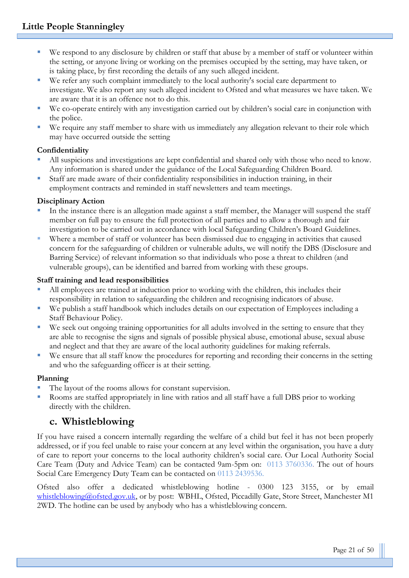- We respond to any disclosure by children or staff that abuse by a member of staff or volunteer within the setting, or anyone living or working on the premises occupied by the setting, may have taken, or is taking place, by first recording the details of any such alleged incident.
- We refer any such complaint immediately to the local authority's social care department to investigate. We also report any such alleged incident to Ofsted and what measures we have taken. We are aware that it is an offence not to do this.
- We co-operate entirely with any investigation carried out by children's social care in conjunction with the police.
- We require any staff member to share with us immediately any allegation relevant to their role which may have occurred outside the setting

#### **Confidentiality**

- All suspicions and investigations are kept confidential and shared only with those who need to know. Any information is shared under the guidance of the Local Safeguarding Children Board.
- Staff are made aware of their confidentiality responsibilities in induction training, in their employment contracts and reminded in staff newsletters and team meetings.

#### **Disciplinary Action**

- In the instance there is an allegation made against a staff member, the Manager will suspend the staff member on full pay to ensure the full protection of all parties and to allow a thorough and fair investigation to be carried out in accordance with local Safeguarding Children's Board Guidelines.
- Where a member of staff or volunteer has been dismissed due to engaging in activities that caused concern for the safeguarding of children or vulnerable adults, we will notify the DBS (Disclosure and Barring Service) of relevant information so that individuals who pose a threat to children (and vulnerable groups), can be identified and barred from working with these groups.

#### **Staff training and lead responsibilities**

- All employees are trained at induction prior to working with the children, this includes their responsibility in relation to safeguarding the children and recognising indicators of abuse.
- We publish a staff handbook which includes details on our expectation of Employees including a Staff Behaviour Policy.
- We seek out ongoing training opportunities for all adults involved in the setting to ensure that they are able to recognise the signs and signals of possible physical abuse, emotional abuse, sexual abuse and neglect and that they are aware of the local authority guidelines for making referrals.
- We ensure that all staff know the procedures for reporting and recording their concerns in the setting and who the safeguarding officer is at their setting.

#### **Planning**

- The layout of the rooms allows for constant supervision.
- Rooms are staffed appropriately in line with ratios and all staff have a full DBS prior to working directly with the children.

## **c. Whistleblowing**

If you have raised a concern internally regarding the welfare of a child but feel it has not been properly addressed, or if you feel unable to raise your concern at any level within the organisation, you have a duty of care to report your concerns to the local authority children's social care. Our Local Authority Social Care Team (Duty and Advice Team) can be contacted 9am-5pm on: 0113 3760336. The out of hours Social Care Emergency Duty Team can be contacted on 0113 2439536.

Ofsted also offer a dedicated whistleblowing hotline - 0300 123 3155, or by email [whistleblowing@ofsted.gov.uk,](mailto:whistleblowing@ofsted.gov.uk) or by post: WBHL, Ofsted, Piccadilly Gate, Store Street, Manchester M1 2WD. The hotline can be used by anybody who has a whistleblowing concern.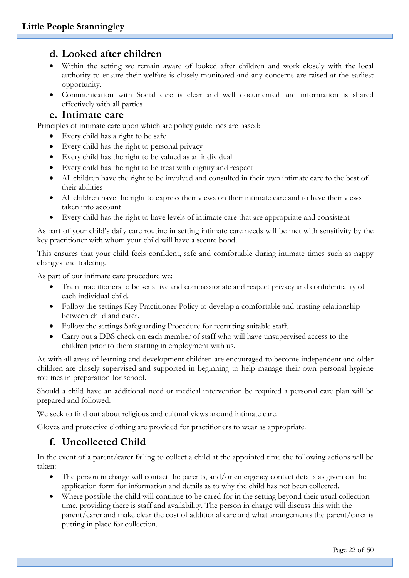## **d. Looked after children**

- Within the setting we remain aware of looked after children and work closely with the local authority to ensure their welfare is closely monitored and any concerns are raised at the earliest opportunity.
- Communication with Social care is clear and well documented and information is shared effectively with all parties

#### **e. Intimate care**

Principles of intimate care upon which are policy guidelines are based:

- Every child has a right to be safe
- Every child has the right to personal privacy
- Every child has the right to be valued as an individual
- Every child has the right to be treat with dignity and respect
- All children have the right to be involved and consulted in their own intimate care to the best of their abilities
- All children have the right to express their views on their intimate care and to have their views taken into account
- Every child has the right to have levels of intimate care that are appropriate and consistent

As part of your child's daily care routine in setting intimate care needs will be met with sensitivity by the key practitioner with whom your child will have a secure bond.

This ensures that your child feels confident, safe and comfortable during intimate times such as nappy changes and toileting.

As part of our intimate care procedure we:

- Train practitioners to be sensitive and compassionate and respect privacy and confidentiality of each individual child.
- Follow the settings Key Practitioner Policy to develop a comfortable and trusting relationship between child and carer.
- Follow the settings Safeguarding Procedure for recruiting suitable staff.
- Carry out a DBS check on each member of staff who will have unsupervised access to the children prior to them starting in employment with us.

As with all areas of learning and development children are encouraged to become independent and older children are closely supervised and supported in beginning to help manage their own personal hygiene routines in preparation for school.

Should a child have an additional need or medical intervention be required a personal care plan will be prepared and followed.

We seek to find out about religious and cultural views around intimate care.

Gloves and protective clothing are provided for practitioners to wear as appropriate.

## **f. Uncollected Child**

In the event of a parent/carer failing to collect a child at the appointed time the following actions will be taken:

- The person in charge will contact the parents, and/or emergency contact details as given on the application form for information and details as to why the child has not been collected.
- Where possible the child will continue to be cared for in the setting beyond their usual collection time, providing there is staff and availability. The person in charge will discuss this with the parent/carer and make clear the cost of additional care and what arrangements the parent/carer is putting in place for collection.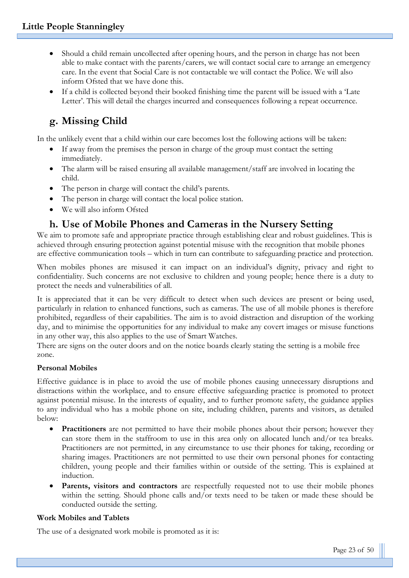- Should a child remain uncollected after opening hours, and the person in charge has not been able to make contact with the parents/carers, we will contact social care to arrange an emergency care. In the event that Social Care is not contactable we will contact the Police. We will also inform Ofsted that we have done this.
- If a child is collected beyond their booked finishing time the parent will be issued with a 'Late Letter'. This will detail the charges incurred and consequences following a repeat occurrence.

# **g. Missing Child**

In the unlikely event that a child within our care becomes lost the following actions will be taken:

- If away from the premises the person in charge of the group must contact the setting immediately.
- The alarm will be raised ensuring all available management/staff are involved in locating the child.
- The person in charge will contact the child's parents.
- The person in charge will contact the local police station.
- We will also inform Ofsted

## **h. Use of Mobile Phones and Cameras in the Nursery Setting**

We aim to promote safe and appropriate practice through establishing clear and robust guidelines. This is achieved through ensuring protection against potential misuse with the recognition that mobile phones are effective communication tools – which in turn can contribute to safeguarding practice and protection.

When mobiles phones are misused it can impact on an individual's dignity, privacy and right to confidentiality. Such concerns are not exclusive to children and young people; hence there is a duty to protect the needs and vulnerabilities of all.

It is appreciated that it can be very difficult to detect when such devices are present or being used, particularly in relation to enhanced functions, such as cameras. The use of all mobile phones is therefore prohibited, regardless of their capabilities. The aim is to avoid distraction and disruption of the working day, and to minimise the opportunities for any individual to make any covert images or misuse functions in any other way, this also applies to the use of Smart Watches.

There are signs on the outer doors and on the notice boards clearly stating the setting is a mobile free zone.

#### **Personal Mobiles**

Effective guidance is in place to avoid the use of mobile phones causing unnecessary disruptions and distractions within the workplace, and to ensure effective safeguarding practice is promoted to protect against potential misuse. In the interests of equality, and to further promote safety, the guidance applies to any individual who has a mobile phone on site, including children, parents and visitors, as detailed below:

- **Practitioners** are not permitted to have their mobile phones about their person; however they can store them in the staffroom to use in this area only on allocated lunch and/or tea breaks. Practitioners are not permitted, in any circumstance to use their phones for taking, recording or sharing images. Practitioners are not permitted to use their own personal phones for contacting children, young people and their families within or outside of the setting. This is explained at induction.
- **Parents, visitors and contractors** are respectfully requested not to use their mobile phones within the setting. Should phone calls and/or texts need to be taken or made these should be conducted outside the setting.

#### **Work Mobiles and Tablets**

The use of a designated work mobile is promoted as it is: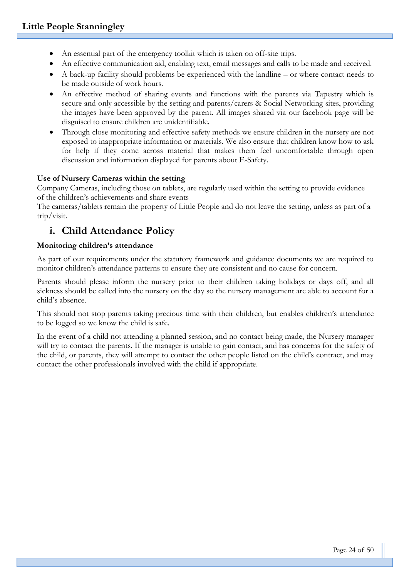- An essential part of the emergency toolkit which is taken on off-site trips.
- An effective communication aid, enabling text, email messages and calls to be made and received.
- A back-up facility should problems be experienced with the landline or where contact needs to be made outside of work hours.
- An effective method of sharing events and functions with the parents via Tapestry which is secure and only accessible by the setting and parents/carers & Social Networking sites, providing the images have been approved by the parent. All images shared via our facebook page will be disguised to ensure children are unidentifiable.
- Through close monitoring and effective safety methods we ensure children in the nursery are not exposed to inappropriate information or materials. We also ensure that children know how to ask for help if they come across material that makes them feel uncomfortable through open discussion and information displayed for parents about E-Safety.

#### **Use of Nursery Cameras within the setting**

Company Cameras, including those on tablets, are regularly used within the setting to provide evidence of the children's achievements and share events

The cameras/tablets remain the property of Little People and do not leave the setting, unless as part of a trip/visit.

## **i. Child Attendance Policy**

#### **Monitoring children's attendance**

As part of our requirements under the statutory framework and guidance documents we are required to monitor children's attendance patterns to ensure they are consistent and no cause for concern.

Parents should please inform the nursery prior to their children taking holidays or days off, and all sickness should be called into the nursery on the day so the nursery management are able to account for a child's absence.

This should not stop parents taking precious time with their children, but enables children's attendance to be logged so we know the child is safe.

In the event of a child not attending a planned session, and no contact being made, the Nursery manager will try to contact the parents. If the manager is unable to gain contact, and has concerns for the safety of the child, or parents, they will attempt to contact the other people listed on the child's contract, and may contact the other professionals involved with the child if appropriate.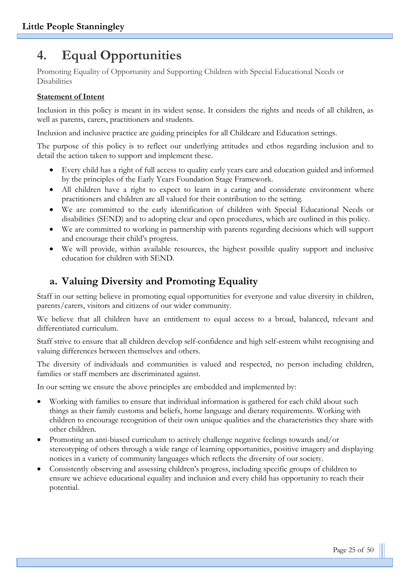# **4. Equal Opportunities**

Promoting Equality of Opportunity and Supporting Children with Special Educational Needs or Disabilities

#### **Statement of Intent**

Inclusion in this policy is meant in its widest sense. It considers the rights and needs of all children, as well as parents, carers, practitioners and students.

Inclusion and inclusive practice are guiding principles for all Childcare and Education settings.

The purpose of this policy is to reflect our underlying attitudes and ethos regarding inclusion and to detail the action taken to support and implement these.

- Every child has a right of full access to quality early years care and education guided and informed by the principles of the Early Years Foundation Stage Framework.
- All children have a right to expect to learn in a caring and considerate environment where practitioners and children are all valued for their contribution to the setting.
- We are committed to the early identification of children with Special Educational Needs or disabilities (SEND) and to adopting clear and open procedures, which are outlined in this policy.
- We are committed to working in partnership with parents regarding decisions which will support and encourage their child's progress.
- We will provide, within available resources, the highest possible quality support and inclusive education for children with SEND.

## **a. Valuing Diversity and Promoting Equality**

Staff in our setting believe in promoting equal opportunities for everyone and value diversity in children, parents/carers, visitors and citizens of our wider community.

We believe that all children have an entitlement to equal access to a broad, balanced, relevant and differentiated curriculum.

Staff strive to ensure that all children develop self-confidence and high self-esteem whilst recognising and valuing differences between themselves and others.

The diversity of individuals and communities is valued and respected, no person including children, families or staff members are discriminated against.

In our setting we ensure the above principles are embedded and implemented by:

- Working with families to ensure that individual information is gathered for each child about such things as their family customs and beliefs, home language and dietary requirements. Working with children to encourage recognition of their own unique qualities and the characteristics they share with other children.
- Promoting an anti-biased curriculum to actively challenge negative feelings towards and/or stereotyping of others through a wide range of learning opportunities, positive imagery and displaying notices in a variety of community languages which reflects the diversity of our society.
- Consistently observing and assessing children's progress, including specific groups of children to ensure we achieve educational equality and inclusion and every child has opportunity to reach their potential.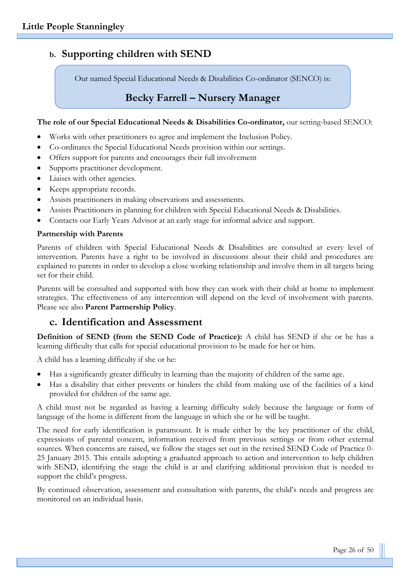## **b. Supporting children with SEND**

Our named Special Educational Needs & Disabilities Co-ordinator (SENCO) is:

## **Becky Farrell – Nursery Manager**

#### **The role of our Special Educational Needs & Disabilities Co-ordinator,** our setting-based SENCO:

- Works with other practitioners to agree and implement the Inclusion Policy.
- Co-ordinates the Special Educational Needs provision within our settings.
- Offers support for parents and encourages their full involvement
- Supports practitioner development.
- Liaises with other agencies.
- Keeps appropriate records.
- Assists practitioners in making observations and assessments.
- Assists Practitioners in planning for children with Special Educational Needs & Disabilities.
- Contacts our Early Years Advisor at an early stage for informal advice and support.

#### **Partnership with Parents**

Parents of children with Special Educational Needs & Disabilities are consulted at every level of intervention. Parents have a right to be involved in discussions about their child and procedures are explained to parents in order to develop a close working relationship and involve them in all targets being set for their child.

Parents will be consulted and supported with how they can work with their child at home to implement strategies. The effectiveness of any intervention will depend on the level of involvement with parents. Please see also **Parent Partnership Policy**.

## **c. Identification and Assessment**

**Definition of SEND (from the SEND Code of Practice):** A child has SEND if she or he has a learning difficulty that calls for special educational provision to be made for her or him.

A child has a learning difficulty if she or he:

- Has a significantly greater difficulty in learning than the majority of children of the same age.
- Has a disability that either prevents or hinders the child from making use of the facilities of a kind provided for children of the same age.

A child must not be regarded as having a learning difficulty solely because the language or form of language of the home is different from the language in which she or he will be taught.

The need for early identification is paramount. It is made either by the key practitioner of the child, expressions of parental concern, information received from previous settings or from other external sources. When concerns are raised, we follow the stages set out in the revised SEND Code of Practice 0- 25 January 2015. This entails adopting a graduated approach to action and intervention to help children with SEND, identifying the stage the child is at and clarifying additional provision that is needed to support the child's progress.

By continued observation, assessment and consultation with parents, the child's needs and progress are monitored on an individual basis.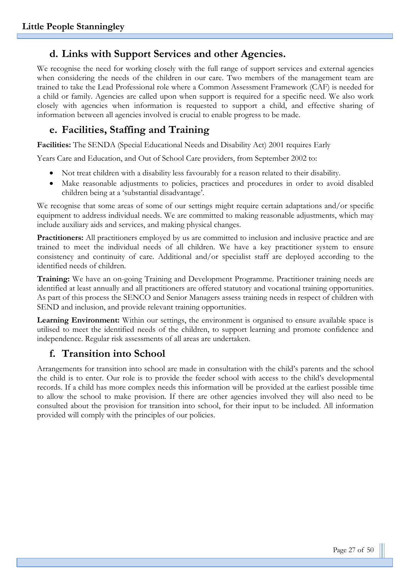## **d. Links with Support Services and other Agencies.**

We recognise the need for working closely with the full range of support services and external agencies when considering the needs of the children in our care. Two members of the management team are trained to take the Lead Professional role where a Common Assessment Framework (CAF) is needed for a child or family. Agencies are called upon when support is required for a specific need. We also work closely with agencies when information is requested to support a child, and effective sharing of information between all agencies involved is crucial to enable progress to be made.

## **e. Facilities, Staffing and Training**

**Facilities:** The SENDA (Special Educational Needs and Disability Act) 2001 requires Early

Years Care and Education, and Out of School Care providers, from September 2002 to:

- Not treat children with a disability less favourably for a reason related to their disability.
- Make reasonable adjustments to policies, practices and procedures in order to avoid disabled children being at a 'substantial disadvantage'.

We recognise that some areas of some of our settings might require certain adaptations and/or specific equipment to address individual needs. We are committed to making reasonable adjustments, which may include auxiliary aids and services, and making physical changes.

**Practitioners:** All practitioners employed by us are committed to inclusion and inclusive practice and are trained to meet the individual needs of all children. We have a key practitioner system to ensure consistency and continuity of care. Additional and/or specialist staff are deployed according to the identified needs of children.

**Training:** We have an on-going Training and Development Programme. Practitioner training needs are identified at least annually and all practitioners are offered statutory and vocational training opportunities. As part of this process the SENCO and Senior Managers assess training needs in respect of children with SEND and inclusion, and provide relevant training opportunities.

**Learning Environment:** Within our settings, the environment is organised to ensure available space is utilised to meet the identified needs of the children, to support learning and promote confidence and independence. Regular risk assessments of all areas are undertaken.

## **f. Transition into School**

Arrangements for transition into school are made in consultation with the child's parents and the school the child is to enter. Our role is to provide the feeder school with access to the child's developmental records. If a child has more complex needs this information will be provided at the earliest possible time to allow the school to make provision. If there are other agencies involved they will also need to be consulted about the provision for transition into school, for their input to be included. All information provided will comply with the principles of our policies.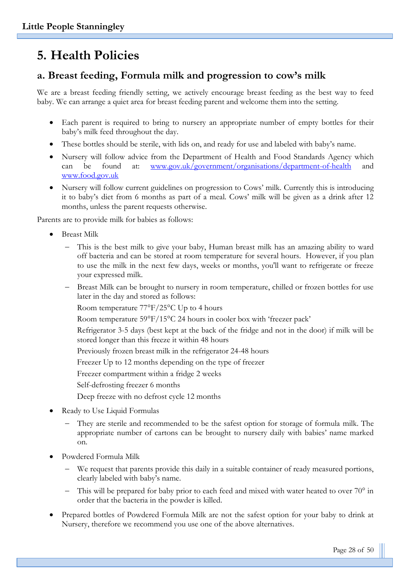# **5. Health Policies**

## **a. Breast feeding, Formula milk and progression to cow's milk**

We are a breast feeding friendly setting, we actively encourage breast feeding as the best way to feed baby. We can arrange a quiet area for breast feeding parent and welcome them into the setting.

- Each parent is required to bring to nursery an appropriate number of empty bottles for their baby's milk feed throughout the day.
- These bottles should be sterile, with lids on, and ready for use and labeled with baby's name.
- Nursery will follow advice from the Department of Health and Food Standards Agency which can be found at: [www.gov.uk/government/organisations/department-of-health](http://www.gov.uk/government/organisations/department-of-health) and [www.food.gov.uk](http://www.food.gov.uk/)
- Nursery will follow current guidelines on progression to Cows' milk. Currently this is introducing it to baby's diet from 6 months as part of a meal. Cows' milk will be given as a drink after 12 months, unless the parent requests otherwise.

Parents are to provide milk for babies as follows:

- Breast Milk
	- This is the best milk to give your baby, Human breast milk has an amazing ability to ward off bacteria and can be stored at room temperature for several hours. However, if you plan to use the milk in the next few days, weeks or months, you'll want to refrigerate or freeze your expressed milk.
	- Breast Milk can be brought to nursery in room temperature, chilled or frozen bottles for use later in the day and stored as follows:

Room temperature 77°F/25°C Up to 4 hours

Room temperature 59°F/15°C 24 hours in cooler box with 'freezer pack'

Refrigerator 3-5 days (best kept at the back of the fridge and not in the door) if milk will be stored longer than this freeze it within 48 hours

Previously frozen breast milk in the refrigerator 24-48 hours

Freezer Up to 12 months depending on the type of freezer

Freezer compartment within a fridge 2 weeks

- Self-defrosting freezer 6 months
- Deep freeze with no defrost cycle 12 months
- Ready to Use Liquid Formulas
	- They are sterile and recommended to be the safest option for storage of formula milk. The appropriate number of cartons can be brought to nursery daily with babies' name marked on.
- Powdered Formula Milk
	- We request that parents provide this daily in a suitable container of ready measured portions, clearly labeled with baby's name.
	- This will be prepared for baby prior to each feed and mixed with water heated to over 70° in order that the bacteria in the powder is killed.
- Prepared bottles of Powdered Formula Milk are not the safest option for your baby to drink at Nursery, therefore we recommend you use one of the above alternatives.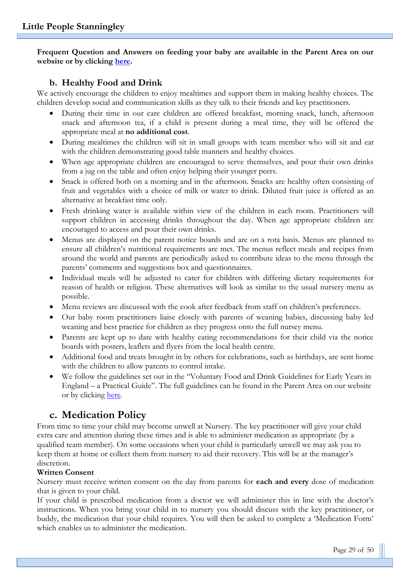**Frequent Question and Answers on feeding your baby are available in the Parent Area on our website or by clicking [here.](http://www.littlepeoplenurseries.co.uk/parent-area/why-choose-us-1)**

#### **b. Healthy Food and Drink**

We actively encourage the children to enjoy mealtimes and support them in making healthy choices. The children develop social and communication skills as they talk to their friends and key practitioners.

- During their time in our care children are offered breakfast, morning snack, lunch, afternoon snack and afternoon tea, if a child is present during a meal time, they will be offered the appropriate meal at **no additional cost**.
- During mealtimes the children will sit in small groups with team member who will sit and eat with the children demonstrating good table manners and healthy choices.
- When age appropriate children are encouraged to serve themselves, and pour their own drinks from a jug on the table and often enjoy helping their younger peers.
- Snack is offered both on a morning and in the afternoon. Snacks are healthy often consisting of fruit and vegetables with a choice of milk or water to drink. Diluted fruit juice is offered as an alternative at breakfast time only.
- Fresh drinking water is available within view of the children in each room. Practitioners will support children in accessing drinks throughout the day. When age appropriate children are encouraged to access and pour their own drinks.
- Menus are displayed on the parent notice boards and are on a rota basis. Menus are planned to ensure all children's nutritional requirements are met. The menus reflect meals and recipes from around the world and parents are periodically asked to contribute ideas to the menu through the parents' comments and suggestions box and questionnaires.
- Individual meals will be adjusted to cater for children with differing dietary requirements for reason of health or religion. These alternatives will look as similar to the usual nursery menu as possible.
- Menu reviews are discussed with the cook after feedback from staff on children's preferences.
- Our baby room practitioners liaise closely with parents of weaning babies, discussing baby led weaning and best practice for children as they progress onto the full nursey menu.
- Parents are kept up to date with healthy eating recommendations for their child via the notice boards with posters, leaflets and flyers from the local health centre.
- Additional food and treats brought in by others for celebrations, such as birthdays, are sent home with the children to allow parents to control intake.
- We follow the guidelines set out in the "Voluntary Food and Drink Guidelines for Early Years in England – a Practical Guide". The full guidelines can be found in the Parent Area on our website or by clicking [here.](http://littlepeople.sites.schooljotter2.com/parent-area/voluntaryguidelines)

## **c. Medication Policy**

From time to time your child may become unwell at Nursery. The key practitioner will give your child extra care and attention during these times and is able to administer medication as appropriate (by a qualified team member). On some occasions when your child is particularly unwell we may ask you to keep them at home or collect them from nursery to aid their recovery. This will be at the manager's discretion.

#### **Written Consent**

Nursery must receive written consent on the day from parents for **each and every** dose of medication that is given to your child.

If your child is prescribed medication from a doctor we will administer this in line with the doctor's instructions. When you bring your child in to nursery you should discuss with the key practitioner, or buddy, the medication that your child requires. You will then be asked to complete a 'Medication Form' which enables us to administer the medication.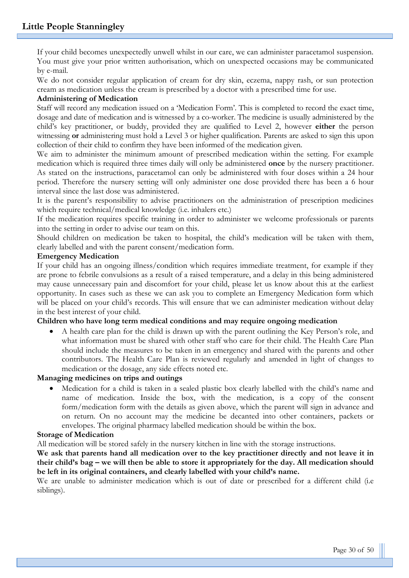If your child becomes unexpectedly unwell whilst in our care, we can administer paracetamol suspension. You must give your prior written authorisation, which on unexpected occasions may be communicated by e-mail.

We do not consider regular application of cream for dry skin, eczema, nappy rash, or sun protection cream as medication unless the cream is prescribed by a doctor with a prescribed time for use.

#### **Administering of Medication**

Staff will record any medication issued on a 'Medication Form'. This is completed to record the exact time, dosage and date of medication and is witnessed by a co-worker. The medicine is usually administered by the child's key practitioner, or buddy, provided they are qualified to Level 2, however **either** the person witnessing **or** administering must hold a Level 3 or higher qualification. Parents are asked to sign this upon collection of their child to confirm they have been informed of the medication given.

We aim to administer the minimum amount of prescribed medication within the setting. For example medication which is required three times daily will only be administered **once** by the nursery practitioner. As stated on the instructions, paracetamol can only be administered with four doses within a 24 hour period. Therefore the nursery setting will only administer one dose provided there has been a 6 hour interval since the last dose was administered.

It is the parent's responsibility to advise practitioners on the administration of prescription medicines which require technical/medical knowledge (i.e. inhalers etc.)

If the medication requires specific training in order to administer we welcome professionals or parents into the setting in order to advise our team on this.

Should children on medication be taken to hospital, the child's medication will be taken with them, clearly labelled and with the parent consent/medication form.

#### **Emergency Medication**

If your child has an ongoing illness/condition which requires immediate treatment, for example if they are prone to febrile convulsions as a result of a raised temperature, and a delay in this being administered may cause unnecessary pain and discomfort for your child, please let us know about this at the earliest opportunity. In cases such as these we can ask you to complete an Emergency Medication form which will be placed on your child's records. This will ensure that we can administer medication without delay in the best interest of your child.

#### **Children who have long term medical conditions and may require ongoing medication**

• A health care plan for the child is drawn up with the parent outlining the Key Person's role, and what information must be shared with other staff who care for their child. The Health Care Plan should include the measures to be taken in an emergency and shared with the parents and other contributors. The Health Care Plan is reviewed regularly and amended in light of changes to medication or the dosage, any side effects noted etc.

#### **Managing medicines on trips and outings**

• Medication for a child is taken in a sealed plastic box clearly labelled with the child's name and name of medication. Inside the box, with the medication, is a copy of the consent form/medication form with the details as given above, which the parent will sign in advance and on return. On no account may the medicine be decanted into other containers, packets or envelopes. The original pharmacy labelled medication should be within the box.

#### **Storage of Medication**

All medication will be stored safely in the nursery kitchen in line with the storage instructions.

We ask that parents hand all medication over to the key practitioner directly and not leave it in **their child's bag – we will then be able to store it appropriately for the day. All medication should be left in its original containers, and clearly labelled with your child's name.**

We are unable to administer medication which is out of date or prescribed for a different child (i.e siblings).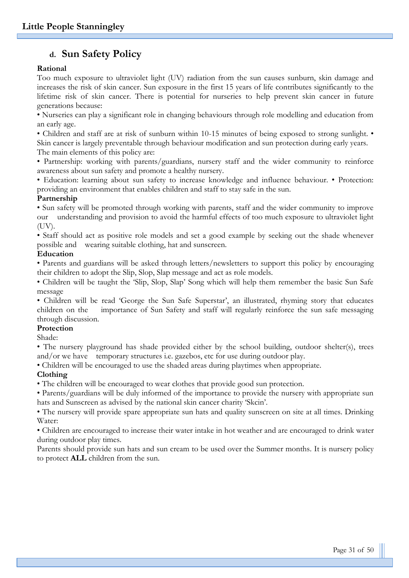## **d. Sun Safety Policy**

#### **Rational**

Too much exposure to ultraviolet light (UV) radiation from the sun causes sunburn, skin damage and increases the risk of skin cancer. Sun exposure in the first 15 years of life contributes significantly to the lifetime risk of skin cancer. There is potential for nurseries to help prevent skin cancer in future generations because:

• Nurseries can play a significant role in changing behaviours through role modelling and education from an early age.

• Children and staff are at risk of sunburn within 10-15 minutes of being exposed to strong sunlight. •

Skin cancer is largely preventable through behaviour modification and sun protection during early years. The main elements of this policy are:

• Partnership: working with parents/guardians, nursery staff and the wider community to reinforce awareness about sun safety and promote a healthy nursery.

• Education: learning about sun safety to increase knowledge and influence behaviour. • Protection: providing an environment that enables children and staff to stay safe in the sun.

#### **Partnership**

• Sun safety will be promoted through working with parents, staff and the wider community to improve our understanding and provision to avoid the harmful effects of too much exposure to ultraviolet light (UV).

• Staff should act as positive role models and set a good example by seeking out the shade whenever possible and wearing suitable clothing, hat and sunscreen.

#### **Education**

• Parents and guardians will be asked through letters/newsletters to support this policy by encouraging their children to adopt the Slip, Slop, Slap message and act as role models.

• Children will be taught the 'Slip, Slop, Slap' Song which will help them remember the basic Sun Safe message

• Children will be read 'George the Sun Safe Superstar', an illustrated, rhyming story that educates children on the importance of Sun Safety and staff will regularly reinforce the sun safe messaging through discussion.

#### **Protection**

Shade:

• The nursery playground has shade provided either by the school building, outdoor shelter(s), trees and/or we have temporary structures i.e. gazebos, etc for use during outdoor play.

• Children will be encouraged to use the shaded areas during playtimes when appropriate.

#### **Clothing**

• The children will be encouraged to wear clothes that provide good sun protection.

• Parents/guardians will be duly informed of the importance to provide the nursery with appropriate sun hats and Sunscreen as advised by the national skin cancer charity 'Skcin'.

• The nursery will provide spare appropriate sun hats and quality sunscreen on site at all times. Drinking Water:

• Children are encouraged to increase their water intake in hot weather and are encouraged to drink water during outdoor play times.

Parents should provide sun hats and sun cream to be used over the Summer months. It is nursery policy to protect **ALL** children from the sun.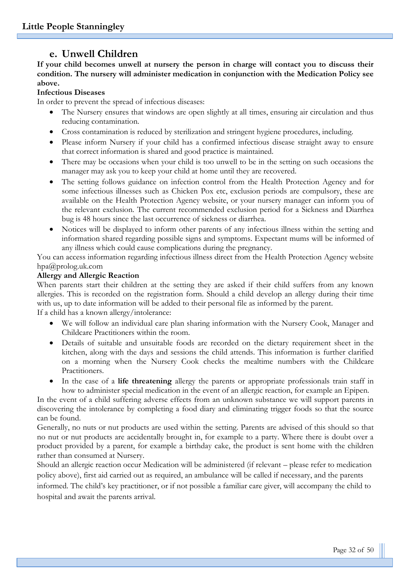## **e. Unwell Children**

**If your child becomes unwell at nursery the person in charge will contact you to discuss their condition. The nursery will administer medication in conjunction with the Medication Policy see above.**

#### **Infectious Diseases**

In order to prevent the spread of infectious diseases:

- The Nursery ensures that windows are open slightly at all times, ensuring air circulation and thus reducing contamination.
- Cross contamination is reduced by sterilization and stringent hygiene procedures, including.
- Please inform Nursery if your child has a confirmed infectious disease straight away to ensure that correct information is shared and good practice is maintained.
- There may be occasions when your child is too unwell to be in the setting on such occasions the manager may ask you to keep your child at home until they are recovered.
- The setting follows guidance on infection control from the Health Protection Agency and for some infectious illnesses such as Chicken Pox etc, exclusion periods are compulsory, these are available on the Health Protection Agency website, or your nursery manager can inform you of the relevant exclusion. The current recommended exclusion period for a Sickness and Diarrhea bug is 48 hours since the last occurrence of sickness or diarrhea.
- Notices will be displayed to inform other parents of any infectious illness within the setting and information shared regarding possible signs and symptoms. Expectant mums will be informed of any illness which could cause complications during the pregnancy.

You can access information regarding infectious illness direct from the Health Protection Agency website hpa@prolog.uk.com

#### **Allergy and Allergic Reaction**

When parents start their children at the setting they are asked if their child suffers from any known allergies. This is recorded on the registration form. Should a child develop an allergy during their time with us, up to date information will be added to their personal file as informed by the parent. If a child has a known allergy/intolerance:

- We will follow an individual care plan sharing information with the Nursery Cook, Manager and Childcare Practitioners within the room.
- Details of suitable and unsuitable foods are recorded on the dietary requirement sheet in the kitchen, along with the days and sessions the child attends. This information is further clarified on a morning when the Nursery Cook checks the mealtime numbers with the Childcare Practitioners.
- In the case of a **life threatening** allergy the parents or appropriate professionals train staff in how to administer special medication in the event of an allergic reaction, for example an Epipen.

In the event of a child suffering adverse effects from an unknown substance we will support parents in discovering the intolerance by completing a food diary and eliminating trigger foods so that the source can be found.

Generally, no nuts or nut products are used within the setting. Parents are advised of this should so that no nut or nut products are accidentally brought in, for example to a party. Where there is doubt over a product provided by a parent, for example a birthday cake, the product is sent home with the children rather than consumed at Nursery.

Should an allergic reaction occur Medication will be administered (if relevant – please refer to medication policy above), first aid carried out as required, an ambulance will be called if necessary, and the parents

informed. The child's key practitioner, or if not possible a familiar care giver, will accompany the child to hospital and await the parents arrival.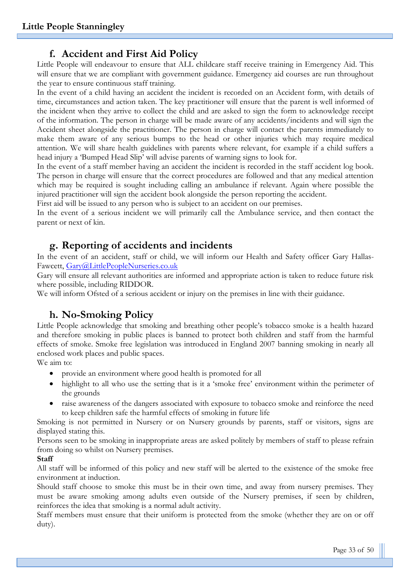## **f. Accident and First Aid Policy**

Little People will endeavour to ensure that ALL childcare staff receive training in Emergency Aid. This will ensure that we are compliant with government guidance. Emergency aid courses are run throughout the year to ensure continuous staff training.

In the event of a child having an accident the incident is recorded on an Accident form, with details of time, circumstances and action taken. The key practitioner will ensure that the parent is well informed of the incident when they arrive to collect the child and are asked to sign the form to acknowledge receipt of the information. The person in charge will be made aware of any accidents/incidents and will sign the Accident sheet alongside the practitioner. The person in charge will contact the parents immediately to make them aware of any serious bumps to the head or other injuries which may require medical attention. We will share health guidelines with parents where relevant, for example if a child suffers a head injury a 'Bumped Head Slip' will advise parents of warning signs to look for.

In the event of a staff member having an accident the incident is recorded in the staff accident log book. The person in charge will ensure that the correct procedures are followed and that any medical attention which may be required is sought including calling an ambulance if relevant. Again where possible the injured practitioner will sign the accident book alongside the person reporting the accident.

First aid will be issued to any person who is subject to an accident on our premises.

In the event of a serious incident we will primarily call the Ambulance service, and then contact the parent or next of kin.

#### **g. Reporting of accidents and incidents**

In the event of an accident, staff or child, we will inform our Health and Safety officer Gary Hallas-Fawcett, [Gary@LittlePeopleNurseries.co.uk](mailto:Gary@LittlePeopleNurseries.co.uk)

Gary will ensure all relevant authorities are informed and appropriate action is taken to reduce future risk where possible, including RIDDOR.

We will inform Ofsted of a serious accident or injury on the premises in line with their guidance.

## **h. No-Smoking Policy**

Little People acknowledge that smoking and breathing other people's tobacco smoke is a health hazard and therefore smoking in public places is banned to protect both children and staff from the harmful effects of smoke. Smoke free legislation was introduced in England 2007 banning smoking in nearly all enclosed work places and public spaces.

We aim to:

- provide an environment where good health is promoted for all
- highlight to all who use the setting that is it a 'smoke free' environment within the perimeter of the grounds
- raise awareness of the dangers associated with exposure to tobacco smoke and reinforce the need to keep children safe the harmful effects of smoking in future life

Smoking is not permitted in Nursery or on Nursery grounds by parents, staff or visitors, signs are displayed stating this.

Persons seen to be smoking in inappropriate areas are asked politely by members of staff to please refrain from doing so whilst on Nursery premises.

#### **Staff**

All staff will be informed of this policy and new staff will be alerted to the existence of the smoke free environment at induction.

Should staff choose to smoke this must be in their own time, and away from nursery premises. They must be aware smoking among adults even outside of the Nursery premises, if seen by children, reinforces the idea that smoking is a normal adult activity.

Staff members must ensure that their uniform is protected from the smoke (whether they are on or off duty).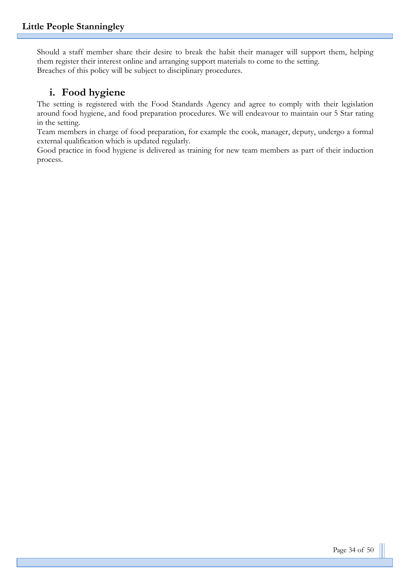Should a staff member share their desire to break the habit their manager will support them, helping them register their interest online and arranging support materials to come to the setting. Breaches of this policy will be subject to disciplinary procedures.

## **i. Food hygiene**

The setting is registered with the Food Standards Agency and agree to comply with their legislation around food hygiene, and food preparation procedures. We will endeavour to maintain our 5 Star rating in the setting.

Team members in charge of food preparation, for example the cook, manager, deputy, undergo a formal external qualification which is updated regularly.

Good practice in food hygiene is delivered as training for new team members as part of their induction process.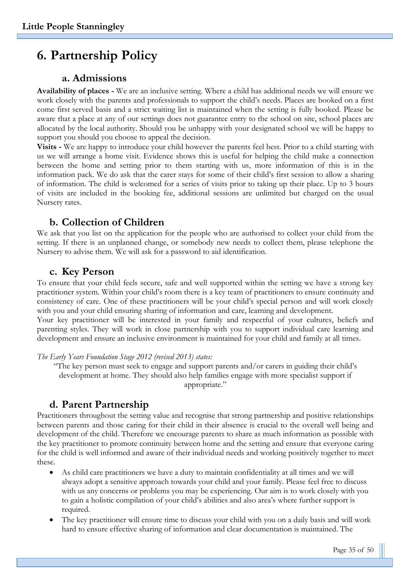# **6. Partnership Policy**

## **a. Admissions**

**Availability of places -** We are an inclusive setting. Where a child has additional needs we will ensure we work closely with the parents and professionals to support the child's needs. Places are booked on a first come first served basis and a strict waiting list is maintained when the setting is fully booked. Please be aware that a place at any of our settings does not guarantee entry to the school on site, school places are allocated by the local authority. Should you be unhappy with your designated school we will be happy to support you should you choose to appeal the decision.

**Visits -** We are happy to introduce your child however the parents feel best. Prior to a child starting with us we will arrange a home visit. Evidence shows this is useful for helping the child make a connection between the home and setting prior to them starting with us, more information of this is in the information pack. We do ask that the carer stays for some of their child's first session to allow a sharing of information. The child is welcomed for a series of visits prior to taking up their place. Up to 3 hours of visits are included in the booking fee, additional sessions are unlimited but charged on the usual Nursery rates.

## **b. Collection of Children**

We ask that you list on the application for the people who are authorised to collect your child from the setting. If there is an unplanned change, or somebody new needs to collect them, please telephone the Nursery to advise them. We will ask for a password to aid identification.

## **c. Key Person**

To ensure that your child feels secure, safe and well supported within the setting we have a strong key practitioner system. Within your child's room there is a key team of practitioners to ensure continuity and consistency of care. One of these practitioners will be your child's special person and will work closely with you and your child ensuring sharing of information and care, learning and development. Your key practitioner will be interested in your family and respectful of your cultures, beliefs and parenting styles. They will work in close partnership with you to support individual care learning and development and ensure an inclusive environment is maintained for your child and family at all times.

*The Early Years Foundation Stage 2012 (revised 2013) states:*

"The key person must seek to engage and support parents and/or carers in guiding their child's development at home. They should also help families engage with more specialist support if appropriate."

## **d. Parent Partnership**

Practitioners throughout the setting value and recognise that strong partnership and positive relationships between parents and those caring for their child in their absence is crucial to the overall well being and development of the child. Therefore we encourage parents to share as much information as possible with the key practitioner to promote continuity between home and the setting and ensure that everyone caring for the child is well informed and aware of their individual needs and working positively together to meet these.

- As child care practitioners we have a duty to maintain confidentiality at all times and we will always adopt a sensitive approach towards your child and your family. Please feel free to discuss with us any concerns or problems you may be experiencing. Our aim is to work closely with you to gain a holistic compilation of your child's abilities and also area's where further support is required.
- The key practitioner will ensure time to discuss your child with you on a daily basis and will work hard to ensure effective sharing of information and clear documentation is maintained. The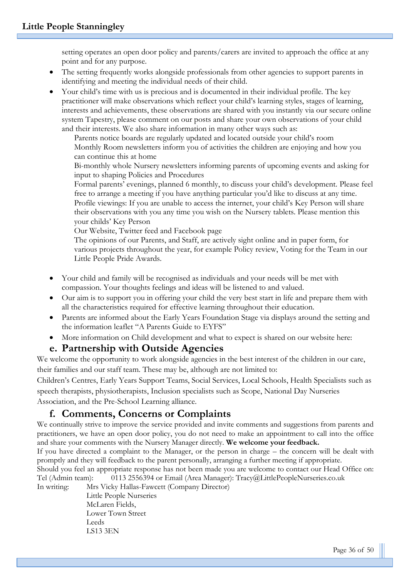setting operates an open door policy and parents/carers are invited to approach the office at any point and for any purpose.

- The setting frequently works alongside professionals from other agencies to support parents in identifying and meeting the individual needs of their child.
- Your child's time with us is precious and is documented in their individual profile. The key practitioner will make observations which reflect your child's learning styles, stages of learning, interests and achievements, these observations are shared with you instantly via our secure online system Tapestry, please comment on our posts and share your own observations of your child and their interests. We also share information in many other ways such as:

Parents notice boards are regularly updated and located outside your child's room Monthly Room newsletters inform you of activities the children are enjoying and how you can continue this at home

Bi-monthly whole Nursery newsletters informing parents of upcoming events and asking for input to shaping Policies and Procedures

Formal parents' evenings, planned 6 monthly, to discuss your child's development. Please feel free to arrange a meeting if you have anything particular you'd like to discuss at any time. Profile viewings: If you are unable to access the internet, your child's Key Person will share their observations with you any time you wish on the Nursery tablets. Please mention this your childs' Key Person

Our Website, Twitter feed and Facebook page

The opinions of our Parents, and Staff, are actively sight online and in paper form, for various projects throughout the year, for example Policy review, Voting for the Team in our Little People Pride Awards.

- Your child and family will be recognised as individuals and your needs will be met with compassion. Your thoughts feelings and ideas will be listened to and valued.
- Our aim is to support you in offering your child the very best start in life and prepare them with all the characteristics required for effective learning throughout their education.
- Parents are informed about the Early Years Foundation Stage via displays around the setting and the information leaflet "A Parents Guide to EYFS"
- More information on Child development and what to expect is shared on our website here:

#### **e. Partnership with Outside Agencies**

We welcome the opportunity to work alongside agencies in the best interest of the children in our care, their families and our staff team. These may be, although are not limited to:

Children's Centres, Early Years Support Teams, Social Services, Local Schools, Health Specialists such as speech therapists, physiotherapists, Inclusion specialists such as Scope, National Day Nurseries Association, and the Pre-School Learning alliance.

## **f. Comments, Concerns or Complaints**

We continually strive to improve the service provided and invite comments and suggestions from parents and practitioners, we have an open door policy, you do not need to make an appointment to call into the office and share your comments with the Nursery Manager directly. **We welcome your feedback.**

If you have directed a complaint to the Manager, or the person in charge – the concern will be dealt with promptly and they will feedback to the parent personally, arranging a further meeting if appropriate.

Should you feel an appropriate response has not been made you are welcome to contact our Head Office on: Tel (Admin team): 0113 2556394 or Email (Area Manager): Tracy@LittlePeopleNurseries.co.uk

In writing: Mrs Vicky Hallas-Fawcett (Company Director)

Little People Nurseries McLaren Fields, Lower Town Street Leeds LS13 3EN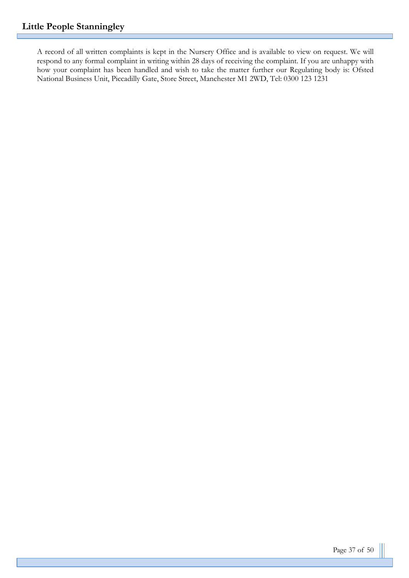A record of all written complaints is kept in the Nursery Office and is available to view on request. We will respond to any formal complaint in writing within 28 days of receiving the complaint. If you are unhappy with how your complaint has been handled and wish to take the matter further our Regulating body is: Ofsted National Business Unit, Piccadilly Gate, Store Street, Manchester M1 2WD, Tel: 0300 123 1231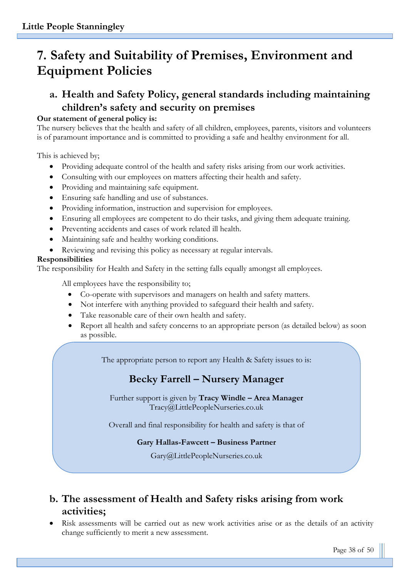# **7. Safety and Suitability of Premises, Environment and Equipment Policies**

## **a. Health and Safety Policy, general standards including maintaining children's safety and security on premises**

## **Our statement of general policy is:**

The nursery believes that the health and safety of all children, employees, parents, visitors and volunteers is of paramount importance and is committed to providing a safe and healthy environment for all.

This is achieved by;

- Providing adequate control of the health and safety risks arising from our work activities.
- Consulting with our employees on matters affecting their health and safety.
- Providing and maintaining safe equipment.
- Ensuring safe handling and use of substances.
- Providing information, instruction and supervision for employees.
- Ensuring all employees are competent to do their tasks, and giving them adequate training.
- Preventing accidents and cases of work related ill health.
- Maintaining safe and healthy working conditions.
- Reviewing and revising this policy as necessary at regular intervals.

## **Responsibilities**

The responsibility for Health and Safety in the setting falls equally amongst all employees.

All employees have the responsibility to;

- Co-operate with supervisors and managers on health and safety matters.
- Not interfere with anything provided to safeguard their health and safety.
- Take reasonable care of their own health and safety.
- Report all health and safety concerns to an appropriate person (as detailed below) as soon as possible.

The appropriate person to report any Health & Safety issues to is:

# **Becky Farrell – Nursery Manager**

Further support is given by **Tracy Windle – Area Manager**  Tracy@LittlePeopleNurseries.co.uk

Overall and final responsibility for health and safety is that of

## **Gary Hallas-Fawcett – Business Partner**

Gary@LittlePeopleNurseries.co.uk

# **b. The assessment of Health and Safety risks arising from work activities;**

• Risk assessments will be carried out as new work activities arise or as the details of an activity change sufficiently to merit a new assessment.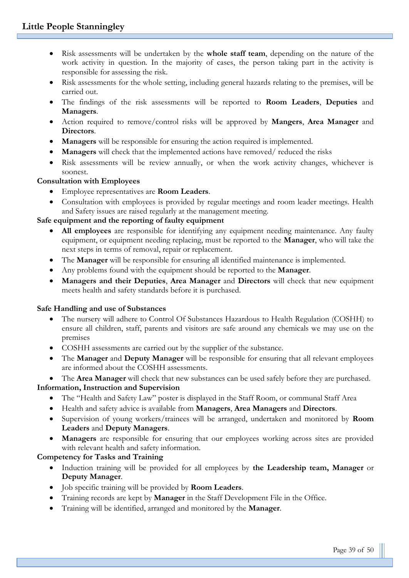- Risk assessments will be undertaken by the **whole staff team**, depending on the nature of the work activity in question. In the majority of cases, the person taking part in the activity is responsible for assessing the risk.
- Risk assessments for the whole setting, including general hazards relating to the premises, will be carried out.
- The findings of the risk assessments will be reported to **Room Leaders**, **Deputies** and **Managers**.
- Action required to remove/control risks will be approved by **Mangers**, **Area Manager** and **Directors**.
- **Managers** will be responsible for ensuring the action required is implemented.
- **Managers** will check that the implemented actions have removed/ reduced the risks
- Risk assessments will be review annually, or when the work activity changes, whichever is soonest.

#### **Consultation with Employees**

- Employee representatives are **Room Leaders**.
- Consultation with employees is provided by regular meetings and room leader meetings. Health and Safety issues are raised regularly at the management meeting.

#### **Safe equipment and the reporting of faulty equipment**

- **All employees** are responsible for identifying any equipment needing maintenance. Any faulty equipment, or equipment needing replacing, must be reported to the **Manager**, who will take the next steps in terms of removal, repair or replacement.
- The **Manager** will be responsible for ensuring all identified maintenance is implemented.
- Any problems found with the equipment should be reported to the **Manager**.
- **Managers and their Deputies**, **Area Manager** and **Directors** will check that new equipment meets health and safety standards before it is purchased.

#### **Safe Handling and use of Substances**

- The nursery will adhere to Control Of Substances Hazardous to Health Regulation (COSHH) to ensure all children, staff, parents and visitors are safe around any chemicals we may use on the premises
- COSHH assessments are carried out by the supplier of the substance.
- The **Manager** and **Deputy Manager** will be responsible for ensuring that all relevant employees are informed about the COSHH assessments.

• The **Area Manager** will check that new substances can be used safely before they are purchased. **Information, Instruction and Supervision**

- The "Health and Safety Law" poster is displayed in the Staff Room, or communal Staff Area
- Health and safety advice is available from **Managers**, **Area Managers** and **Directors**.
- Supervision of young workers/trainees will be arranged, undertaken and monitored by **Room Leaders** and **Deputy Managers**.
- **Managers** are responsible for ensuring that our employees working across sites are provided with relevant health and safety information.

#### **Competency for Tasks and Training**

- Induction training will be provided for all employees by **the Leadership team, Manager** or **Deputy Manager**.
- Job specific training will be provided by **Room Leaders**.
- Training records are kept by **Manager** in the Staff Development File in the Office.
- Training will be identified, arranged and monitored by the **Manager**.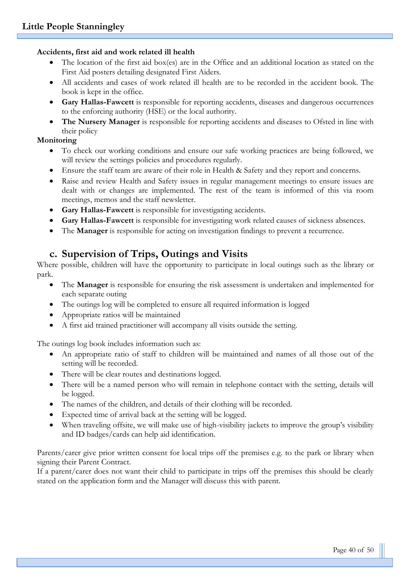#### **Accidents, first aid and work related ill health**

- The location of the first aid box(es) are in the Office and an additional location as stated on the First Aid posters detailing designated First Aiders.
- All accidents and cases of work related ill health are to be recorded in the accident book. The book is kept in the office.
- **Gary Hallas-Fawcett** is responsible for reporting accidents, diseases and dangerous occurrences to the enforcing authority (HSE) or the local authority.
- **The Nursery Manager** is responsible for reporting accidents and diseases to Ofsted in line with their policy

#### **Monitoring**

- To check our working conditions and ensure our safe working practices are being followed, we will review the settings policies and procedures regularly.
- Ensure the staff team are aware of their role in Health & Safety and they report and concerns.
- Raise and review Health and Safety issues in regular management meetings to ensure issues are dealt with or changes are implemented. The rest of the team is informed of this via room meetings, memos and the staff newsletter.
- **Gary Hallas-Fawcett** is responsible for investigating accidents.
- **Gary Hallas-Fawcett** is responsible for investigating work related causes of sickness absences.
- The **Manager** is responsible for acting on investigation findings to prevent a recurrence.

## **c. Supervision of Trips, Outings and Visits**

Where possible, children will have the opportunity to participate in local outings such as the library or park.

- The **Manager** is responsible for ensuring the risk assessment is undertaken and implemented for each separate outing
- The outings log will be completed to ensure all required information is logged
- Appropriate ratios will be maintained
- A first aid trained practitioner will accompany all visits outside the setting.

The outings log book includes information such as:

- An appropriate ratio of staff to children will be maintained and names of all those out of the setting will be recorded.
- There will be clear routes and destinations logged.
- There will be a named person who will remain in telephone contact with the setting, details will be logged.
- The names of the children, and details of their clothing will be recorded.
- Expected time of arrival back at the setting will be logged.
- When traveling offsite, we will make use of high-visibility jackets to improve the group's visibility and ID badges/cards can help aid identification.

Parents/carer give prior written consent for local trips off the premises e.g. to the park or library when signing their Parent Contract.

If a parent/carer does not want their child to participate in trips off the premises this should be clearly stated on the application form and the Manager will discuss this with parent.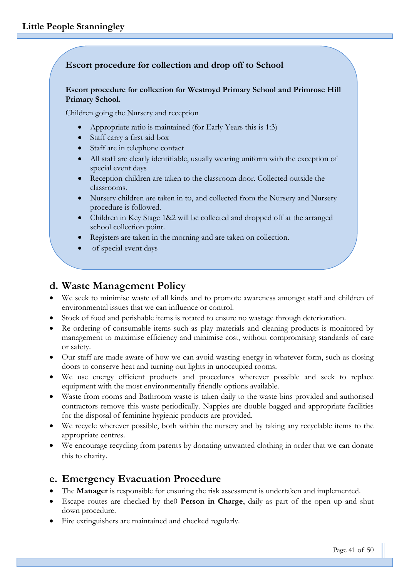#### **Escort procedure for collection and drop off to School**

#### **Escort procedure for collection for Westroyd Primary School and Primrose Hill Primary School.**

Children going the Nursery and reception

- Appropriate ratio is maintained (for Early Years this is 1:3)
- Staff carry a first aid box
- Staff are in telephone contact
- All staff are clearly identifiable, usually wearing uniform with the exception of special event days
- Reception children are taken to the classroom door. Collected outside the classrooms.
- Nursery children are taken in to, and collected from the Nursery and Nursery procedure is followed.
- Children in Key Stage 1&2 will be collected and dropped off at the arranged school collection point.
- Registers are taken in the morning and are taken on collection.
- of special event days

## **d. Waste Management Policy**

- We seek to minimise waste of all kinds and to promote awareness amongst staff and children of environmental issues that we can influence or control.
- Stock of food and perishable items is rotated to ensure no wastage through deterioration.
- Re ordering of consumable items such as play materials and cleaning products is monitored by management to maximise efficiency and minimise cost, without compromising standards of care or safety.
- Our staff are made aware of how we can avoid wasting energy in whatever form, such as closing doors to conserve heat and turning out lights in unoccupied rooms.
- We use energy efficient products and procedures wherever possible and seek to replace equipment with the most environmentally friendly options available.
- Waste from rooms and Bathroom waste is taken daily to the waste bins provided and authorised contractors remove this waste periodically. Nappies are double bagged and appropriate facilities for the disposal of feminine hygienic products are provided.
- We recycle wherever possible, both within the nursery and by taking any recyclable items to the appropriate centres.
- We encourage recycling from parents by donating unwanted clothing in order that we can donate this to charity.

## **e. Emergency Evacuation Procedure**

- The **Manager** is responsible for ensuring the risk assessment is undertaken and implemented.
- Escape routes are checked by the0 **Person in Charge**, daily as part of the open up and shut down procedure.
- Fire extinguishers are maintained and checked regularly.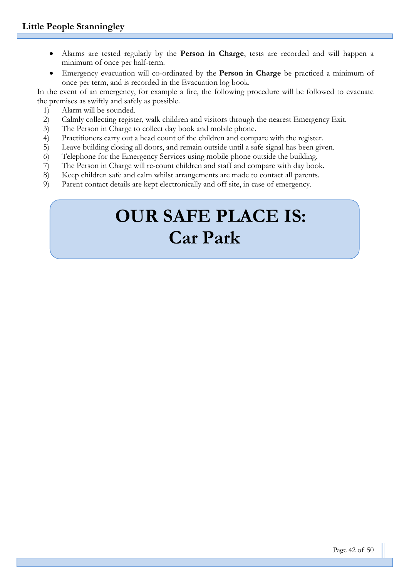- Alarms are tested regularly by the **Person in Charge**, tests are recorded and will happen a minimum of once per half-term.
- Emergency evacuation will co-ordinated by the **Person in Charge** be practiced a minimum of once per term, and is recorded in the Evacuation log book.

In the event of an emergency, for example a fire, the following procedure will be followed to evacuate the premises as swiftly and safely as possible.

- 1) Alarm will be sounded.
- 2) Calmly collecting register, walk children and visitors through the nearest Emergency Exit.
- 3) The Person in Charge to collect day book and mobile phone.
- 4) Practitioners carry out a head count of the children and compare with the register.
- 5) Leave building closing all doors, and remain outside until a safe signal has been given.
- 6) Telephone for the Emergency Services using mobile phone outside the building.
- 7) The Person in Charge will re-count children and staff and compare with day book.
- 8) Keep children safe and calm whilst arrangements are made to contact all parents.
- 9) Parent contact details are kept electronically and off site, in case of emergency.

# **OUR SAFE PLACE IS: Car Park**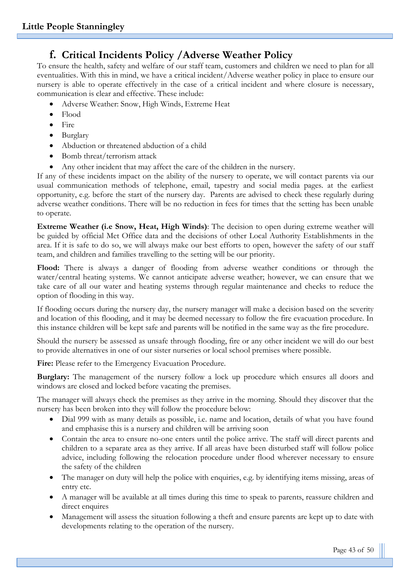## **f. Critical Incidents Policy /Adverse Weather Policy**

To ensure the health, safety and welfare of our staff team, customers and children we need to plan for all eventualities. With this in mind, we have a critical incident/Adverse weather policy in place to ensure our nursery is able to operate effectively in the case of a critical incident and where closure is necessary, communication is clear and effective. These include:

- Adverse Weather: Snow, High Winds, Extreme Heat
- Flood
- Fire
- Burglary
- Abduction or threatened abduction of a child
- Bomb threat/terrorism attack
- Any other incident that may affect the care of the children in the nursery.

If any of these incidents impact on the ability of the nursery to operate, we will contact parents via our usual communication methods of telephone, email, tapestry and social media pages. at the earliest opportunity, e.g. before the start of the nursery day. Parents are advised to check these regularly during adverse weather conditions. There will be no reduction in fees for times that the setting has been unable to operate.

**Extreme Weather (i.e Snow, Heat, High Winds)**: The decision to open during extreme weather will be guided by official Met Office data and the decisions of other Local Authority Establishments in the area. If it is safe to do so, we will always make our best efforts to open, however the safety of our staff team, and children and families travelling to the setting will be our priority.

Flood: There is always a danger of flooding from adverse weather conditions or through the water/central heating systems. We cannot anticipate adverse weather; however, we can ensure that we take care of all our water and heating systems through regular maintenance and checks to reduce the option of flooding in this way.

If flooding occurs during the nursery day, the nursery manager will make a decision based on the severity and location of this flooding, and it may be deemed necessary to follow the fire evacuation procedure. In this instance children will be kept safe and parents will be notified in the same way as the fire procedure.

Should the nursery be assessed as unsafe through flooding, fire or any other incident we will do our best to provide alternatives in one of our sister nurseries or local school premises where possible.

Fire: Please refer to the Emergency Evacuation Procedure.

**Burglary:** The management of the nursery follow a lock up procedure which ensures all doors and windows are closed and locked before vacating the premises.

The manager will always check the premises as they arrive in the morning. Should they discover that the nursery has been broken into they will follow the procedure below:

- Dial 999 with as many details as possible, i.e. name and location, details of what you have found and emphasise this is a nursery and children will be arriving soon
- Contain the area to ensure no-one enters until the police arrive. The staff will direct parents and children to a separate area as they arrive. If all areas have been disturbed staff will follow police advice, including following the relocation procedure under flood wherever necessary to ensure the safety of the children
- The manager on duty will help the police with enquiries, e.g. by identifying items missing, areas of entry etc.
- A manager will be available at all times during this time to speak to parents, reassure children and direct enquires
- Management will assess the situation following a theft and ensure parents are kept up to date with developments relating to the operation of the nursery.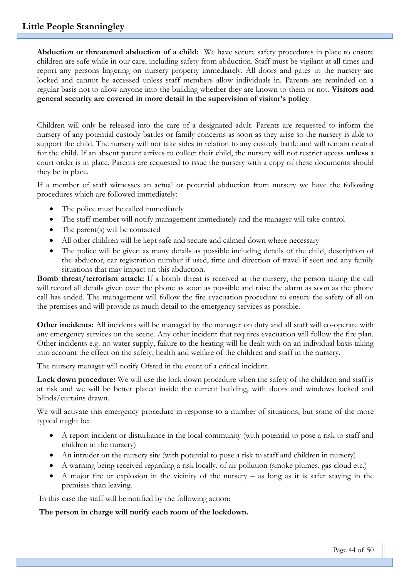**Abduction or threatened abduction of a child:** We have secure safety procedures in place to ensure children are safe while in our care, including safety from abduction. Staff must be vigilant at all times and report any persons lingering on nursery property immediately. All doors and gates to the nursery are locked and cannot be accessed unless staff members allow individuals in. Parents are reminded on a regular basis not to allow anyone into the building whether they are known to them or not. **Visitors and general security are covered in more detail in the supervision of visitor's policy**.

Children will only be released into the care of a designated adult. Parents are requested to inform the nursery of any potential custody battles or family concerns as soon as they arise so the nursery is able to support the child. The nursery will not take sides in relation to any custody battle and will remain neutral for the child. If an absent parent arrives to collect their child, the nursery will not restrict access **unless** a court order is in place. Parents are requested to issue the nursery with a copy of these documents should they be in place.

If a member of staff witnesses an actual or potential abduction from nursery we have the following procedures which are followed immediately:

- The police must be called immediately
- The staff member will notify management immediately and the manager will take control
- The parent(s) will be contacted
- All other children will be kept safe and secure and calmed down where necessary
- The police will be given as many details as possible including details of the child, description of the abductor, car registration number if used, time and direction of travel if seen and any family situations that may impact on this abduction.

**Bomb threat/terrorism attack:** If a bomb threat is received at the nursery, the person taking the call will record all details given over the phone as soon as possible and raise the alarm as soon as the phone call has ended. The management will follow the fire evacuation procedure to ensure the safety of all on the premises and will provide as much detail to the emergency services as possible.

**Other incidents:** All incidents will be managed by the manager on duty and all staff will co-operate with any emergency services on the scene. Any other incident that requires evacuation will follow the fire plan. Other incidents e.g. no water supply, failure to the heating will be dealt with on an individual basis taking into account the effect on the safety, health and welfare of the children and staff in the nursery.

The nursery manager will notify Ofsted in the event of a critical incident.

**Lock down procedure:** We will use the lock down procedure when the safety of the children and staff is at risk and we will be better placed inside the current building, with doors and windows locked and blinds/curtains drawn.

We will activate this emergency procedure in response to a number of situations, but some of the more typical might be:

- A report incident or disturbance in the local community (with potential to pose a risk to staff and children in the nursery)
- An intruder on the nursery site (with potential to pose a risk to staff and children in nursery)
- A warning being received regarding a risk locally, of air pollution (smoke plumes, gas cloud etc.)
- A major fire or explosion in the vicinity of the nursery as long as it is safer staying in the premises than leaving.

In this case the staff will be notified by the following action:

#### **The person in charge will notify each room of the lockdown.**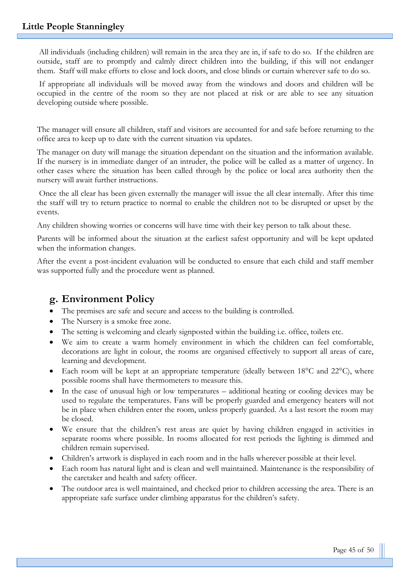All individuals (including children) will remain in the area they are in, if safe to do so. If the children are outside, staff are to promptly and calmly direct children into the building, if this will not endanger them. Staff will make efforts to close and lock doors, and close blinds or curtain wherever safe to do so.

If appropriate all individuals will be moved away from the windows and doors and children will be occupied in the centre of the room so they are not placed at risk or are able to see any situation developing outside where possible.

The manager will ensure all children, staff and visitors are accounted for and safe before returning to the office area to keep up to date with the current situation via updates.

The manager on duty will manage the situation dependant on the situation and the information available. If the nursery is in immediate danger of an intruder, the police will be called as a matter of urgency. In other cases where the situation has been called through by the police or local area authority then the nursery will await further instructions.

Once the all clear has been given externally the manager will issue the all clear internally. After this time the staff will try to return practice to normal to enable the children not to be disrupted or upset by the events.

Any children showing worries or concerns will have time with their key person to talk about these.

Parents will be informed about the situation at the earliest safest opportunity and will be kept updated when the information changes.

After the event a post-incident evaluation will be conducted to ensure that each child and staff member was supported fully and the procedure went as planned.

## **g. Environment Policy**

- The premises are safe and secure and access to the building is controlled.
- The Nursery is a smoke free zone.
- The setting is welcoming and clearly signposted within the building i.e. office, toilets etc.
- We aim to create a warm homely environment in which the children can feel comfortable, decorations are light in colour, the rooms are organised effectively to support all areas of care, learning and development.
- Each room will be kept at an appropriate temperature (ideally between  $18^{\circ}$ C and  $22^{\circ}$ C), where possible rooms shall have thermometers to measure this.
- In the case of unusual high or low temperatures additional heating or cooling devices may be used to regulate the temperatures. Fans will be properly guarded and emergency heaters will not be in place when children enter the room, unless properly guarded. As a last resort the room may be closed.
- We ensure that the children's rest areas are quiet by having children engaged in activities in separate rooms where possible. In rooms allocated for rest periods the lighting is dimmed and children remain supervised.
- Children's artwork is displayed in each room and in the halls wherever possible at their level.
- Each room has natural light and is clean and well maintained. Maintenance is the responsibility of the caretaker and health and safety officer.
- The outdoor area is well maintained, and checked prior to children accessing the area. There is an appropriate safe surface under climbing apparatus for the children's safety.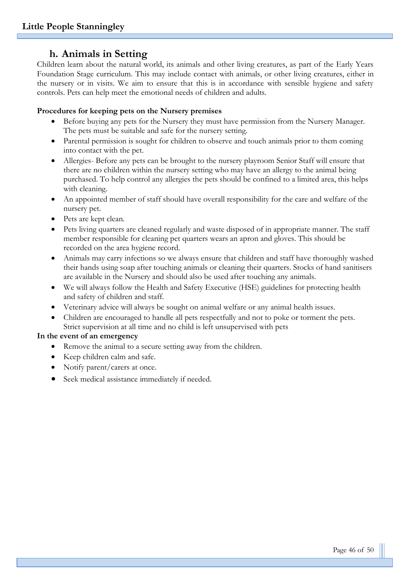## **h. Animals in Setting**

Children learn about the natural world, its animals and other living creatures, as part of the Early Years Foundation Stage curriculum. This may include contact with animals, or other living creatures, either in the nursery or in visits. We aim to ensure that this is in accordance with sensible hygiene and safety controls. Pets can help meet the emotional needs of children and adults.

#### **Procedures for keeping pets on the Nursery premises**

- Before buying any pets for the Nursery they must have permission from the Nursery Manager. The pets must be suitable and safe for the nursery setting.
- Parental permission is sought for children to observe and touch animals prior to them coming into contact with the pet.
- Allergies- Before any pets can be brought to the nursery playroom Senior Staff will ensure that there are no children within the nursery setting who may have an allergy to the animal being purchased. To help control any allergies the pets should be confined to a limited area, this helps with cleaning.
- An appointed member of staff should have overall responsibility for the care and welfare of the nursery pet.
- Pets are kept clean.
- Pets living quarters are cleaned regularly and waste disposed of in appropriate manner. The staff member responsible for cleaning pet quarters wears an apron and gloves. This should be recorded on the area hygiene record.
- Animals may carry infections so we always ensure that children and staff have thoroughly washed their hands using soap after touching animals or cleaning their quarters. Stocks of hand sanitisers are available in the Nursery and should also be used after touching any animals.
- We will always follow the Health and Safety Executive (HSE) guidelines for protecting health and safety of children and staff.
- Veterinary advice will always be sought on animal welfare or any animal health issues.
- Children are encouraged to handle all pets respectfully and not to poke or torment the pets. Strict supervision at all time and no child is left unsupervised with pets

#### **In the event of an emergency**

- Remove the animal to a secure setting away from the children.
- Keep children calm and safe.
- Notify parent/carers at once.
- Seek medical assistance immediately if needed.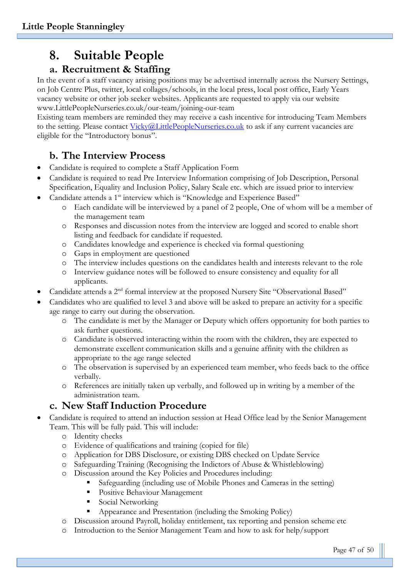# **8. Suitable People**

## **a. Recruitment & Staffing**

In the event of a staff vacancy arising positions may be advertised internally across the Nursery Settings, on Job Centre Plus, twitter, local collages/schools, in the local press, local post office, Early Years vacancy website or other job seeker websites. Applicants are requested to apply via our website www.LittlePeopleNurseries.co.uk/our-team/joining-our-team

Existing team members are reminded they may receive a cash incentive for introducing Team Members to the setting. Please contact [Vicky@LittlePeopleNurseries.co.uk](mailto:Vicky@LittlePeopleNurseries.co.uk) to ask if any current vacancies are eligible for the "Introductory bonus".

## **b. The Interview Process**

- Candidate is required to complete a Staff Application Form
- Candidate is required to read Pre Interview Information comprising of Job Description, Personal Specification, Equality and Inclusion Policy, Salary Scale etc. which are issued prior to interview
- Candidate attends a 1<sup>st</sup> interview which is "Knowledge and Experience Based"
	- o Each candidate will be interviewed by a panel of 2 people, One of whom will be a member of the management team
	- o Responses and discussion notes from the interview are logged and scored to enable short listing and feedback for candidate if requested.
	- o Candidates knowledge and experience is checked via formal questioning
	- o Gaps in employment are questioned
	- o The interview includes questions on the candidates health and interests relevant to the role
	- o Interview guidance notes will be followed to ensure consistency and equality for all applicants.
- Candidate attends a 2nd formal interview at the proposed Nursery Site "Observational Based"
- Candidates who are qualified to level 3 and above will be asked to prepare an activity for a specific age range to carry out during the observation.
	- o The candidate is met by the Manager or Deputy which offers opportunity for both parties to ask further questions.
	- o Candidate is observed interacting within the room with the children, they are expected to demonstrate excellent communication skills and a genuine affinity with the children as appropriate to the age range selected
	- o The observation is supervised by an experienced team member, who feeds back to the office verbally.
	- o References are initially taken up verbally, and followed up in writing by a member of the administration team.

## **c. New Staff Induction Procedure**

- Candidate is required to attend an induction session at Head Office lead by the Senior Management Team. This will be fully paid. This will include:
	- o Identity checks
	- o Evidence of qualifications and training (copied for file)
	- o Application for DBS Disclosure, or existing DBS checked on Update Service
	- o Safeguarding Training (Recognising the Indictors of Abuse & Whistleblowing)
	- o Discussion around the Key Policies and Procedures including:
		- Safeguarding (including use of Mobile Phones and Cameras in the setting)
		- **•** Positive Behaviour Management
		- Social Networking
		- Appearance and Presentation (including the Smoking Policy)
	- o Discussion around Payroll, holiday entitlement, tax reporting and pension scheme etc
	- o Introduction to the Senior Management Team and how to ask for help/support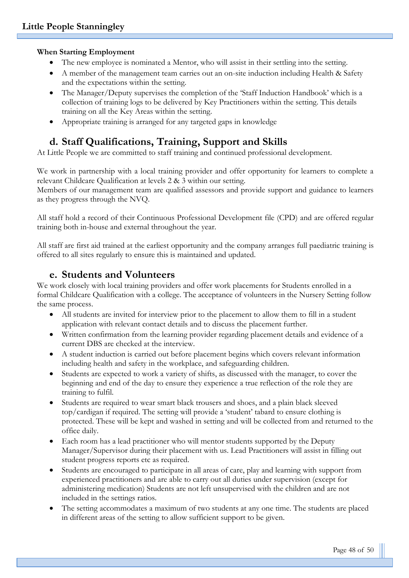#### **When Starting Employment**

- The new employee is nominated a Mentor, who will assist in their settling into the setting.
- A member of the management team carries out an on-site induction including Health & Safety and the expectations within the setting.
- The Manager/Deputy supervises the completion of the 'Staff Induction Handbook' which is a collection of training logs to be delivered by Key Practitioners within the setting. This details training on all the Key Areas within the setting.
- Appropriate training is arranged for any targeted gaps in knowledge

## **d. Staff Qualifications, Training, Support and Skills**

At Little People we are committed to staff training and continued professional development.

We work in partnership with a local training provider and offer opportunity for learners to complete a relevant Childcare Qualification at levels 2 & 3 within our setting.

Members of our management team are qualified assessors and provide support and guidance to learners as they progress through the NVQ.

All staff hold a record of their Continuous Professional Development file (CPD) and are offered regular training both in-house and external throughout the year.

All staff are first aid trained at the earliest opportunity and the company arranges full paediatric training is offered to all sites regularly to ensure this is maintained and updated.

## **e. Students and Volunteers**

We work closely with local training providers and offer work placements for Students enrolled in a formal Childcare Qualification with a college. The acceptance of volunteers in the Nursery Setting follow the same process.

- All students are invited for interview prior to the placement to allow them to fill in a student application with relevant contact details and to discuss the placement further.
- Written confirmation from the learning provider regarding placement details and evidence of a current DBS are checked at the interview.
- A student induction is carried out before placement begins which covers relevant information including health and safety in the workplace, and safeguarding children.
- Students are expected to work a variety of shifts, as discussed with the manager, to cover the beginning and end of the day to ensure they experience a true reflection of the role they are training to fulfil.
- Students are required to wear smart black trousers and shoes, and a plain black sleeved top/cardigan if required. The setting will provide a 'student' tabard to ensure clothing is protected. These will be kept and washed in setting and will be collected from and returned to the office daily.
- Each room has a lead practitioner who will mentor students supported by the Deputy Manager/Supervisor during their placement with us. Lead Practitioners will assist in filling out student progress reports etc as required.
- Students are encouraged to participate in all areas of care, play and learning with support from experienced practitioners and are able to carry out all duties under supervision (except for administering medication) Students are not left unsupervised with the children and are not included in the settings ratios.
- The setting accommodates a maximum of two students at any one time. The students are placed in different areas of the setting to allow sufficient support to be given.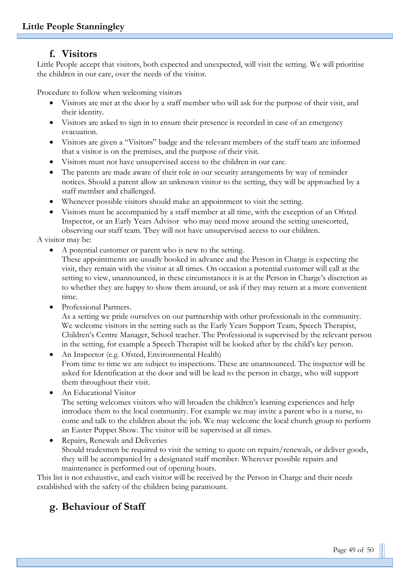## **f. Visitors**

Little People accept that visitors, both expected and unexpected, will visit the setting. We will prioritise the children in our care, over the needs of the visitor.

Procedure to follow when welcoming visitors

- Visitors are met at the door by a staff member who will ask for the purpose of their visit, and their identity.
- Visitors are asked to sign in to ensure their presence is recorded in case of an emergency evacuation.
- Visitors are given a "Visitors" badge and the relevant members of the staff team are informed that a visitor is on the premises, and the purpose of their visit.
- Visitors must not have unsupervised access to the children in our care.
- The parents are made aware of their role in our security arrangements by way of reminder notices. Should a parent allow an unknown visitor to the setting, they will be approached by a staff member and challenged.
- Whenever possible visitors should make an appointment to visit the setting.
- Visitors must be accompanied by a staff member at all time, with the exception of an Ofsted Inspector, or an Early Years Advisor who may need move around the setting unescorted, observing our staff team. They will not have unsupervised access to our children.

A visitor may be:

• A potential customer or parent who is new to the setting.

These appointments are usually booked in advance and the Person in Charge is expecting the visit, they remain with the visitor at all times. On occasion a potential customer will call at the setting to view, unannounced, in these circumstances it is at the Person in Charge's discretion as to whether they are happy to show them around, or ask if they may return at a more convenient time.

Professional Partners.

As a setting we pride ourselves on our partnership with other professionals in the community. We welcome visitors in the setting such as the Early Years Support Team, Speech Therapist, Children's Centre Manager, School teacher. The Professional is supervised by the relevant person in the setting, for example a Speech Therapist will be looked after by the child's key person.

• An Inspector (e.g. Ofsted, Environmental Health) From time to time we are subject to inspections. These are unannounced. The inspector will be asked for Identification at the door and will be lead to the person in charge, who will support them throughout their visit.

• An Educational Visitor

The setting welcomes visitors who will broaden the children's learning experiences and help introduce them to the local community. For example we may invite a parent who is a nurse, to come and talk to the children about the job. We may welcome the local church group to perform an Easter Puppet Show. The visitor will be supervised at all times.

• Repairs, Renewals and Deliveries Should tradesmen be required to visit the setting to quote on repairs/renewals, or deliver goods, they will be accompanied by a designated staff member. Wherever possible repairs and maintenance is performed out of opening hours.

This list is not exhaustive, and each visitor will be received by the Person in Charge and their needs established with the safety of the children being paramount.

## **g. Behaviour of Staff**